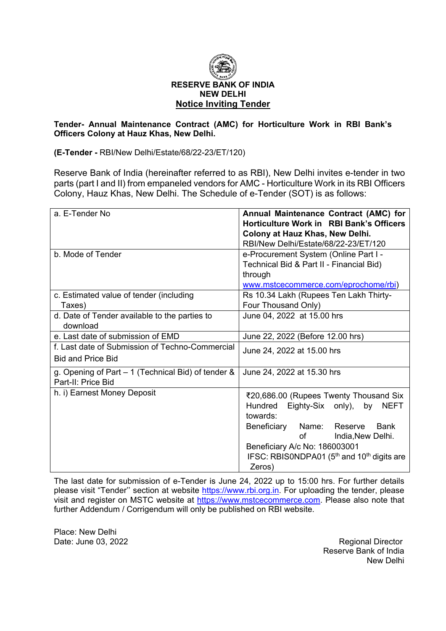

#### **Tender- Annual Maintenance Contract (AMC) for Horticulture Work in RBI Bank's Officers Colony at Hauz Khas, New Delhi.**

**(E-Tender -** RBI/New Delhi/Estate/68/22-23/ET/120)

Reserve Bank of India (hereinafter referred to as RBI), New Delhi invites e-tender in two parts (part I and II) from empaneled vendors for AMC - Horticulture Work in its RBI Officers Colony, Hauz Khas, New Delhi. The Schedule of e-Tender (SOT) is as follows:

| a. E-Tender No                                                              | Annual Maintenance Contract (AMC) for<br>Horticulture Work in RBI Bank's Officers<br>Colony at Hauz Khas, New Delhi.<br>RBI/New Delhi/Estate/68/22-23/ET/120                                                                                                                                    |
|-----------------------------------------------------------------------------|-------------------------------------------------------------------------------------------------------------------------------------------------------------------------------------------------------------------------------------------------------------------------------------------------|
| b. Mode of Tender                                                           | e-Procurement System (Online Part I -<br>Technical Bid & Part II - Financial Bid)<br>through<br>www.mstcecommerce.com/eprochome/rbi)                                                                                                                                                            |
| c. Estimated value of tender (including<br>Taxes)                           | Rs 10.34 Lakh (Rupees Ten Lakh Thirty-<br>Four Thousand Only)                                                                                                                                                                                                                                   |
| d. Date of Tender available to the parties to<br>download                   | June 04, 2022 at 15.00 hrs                                                                                                                                                                                                                                                                      |
| e. Last date of submission of EMD                                           | June 22, 2022 (Before 12.00 hrs)                                                                                                                                                                                                                                                                |
| f. Last date of Submission of Techno-Commercial<br><b>Bid and Price Bid</b> | June 24, 2022 at 15.00 hrs                                                                                                                                                                                                                                                                      |
| g. Opening of Part – 1 (Technical Bid) of tender &<br>Part-II: Price Bid    | June 24, 2022 at 15.30 hrs                                                                                                                                                                                                                                                                      |
| h. i) Earnest Money Deposit                                                 | ₹20,686.00 (Rupees Twenty Thousand Six<br>Hundred<br>Eighty-Six only), by<br><b>NEFT</b><br>towards:<br>Beneficiary<br>Name: Reserve<br><b>Bank</b><br>οf<br>India, New Delhi.<br>Beneficiary A/c No: 186003001<br>IFSC: RBIS0NDPA01 (5 <sup>th</sup> and 10 <sup>th</sup> digits are<br>Zeros) |

The last date for submission of e-Tender is June 24, 2022 up to 15:00 hrs. For further details please visit "Tender'' section at website [https://www.rbi.org.in.](https://www.rbi.org.in/) For uploading the tender, please visit and register on MSTC website at [https://www.mstcecommerce.com.](https://www.mstcecommerce.com/) Please also note that further Addendum / Corrigendum will only be published on RBI website.

Place: New Delhi

Date: June 03, 2022 **Regional Director** Reserve Bank of India New Delhi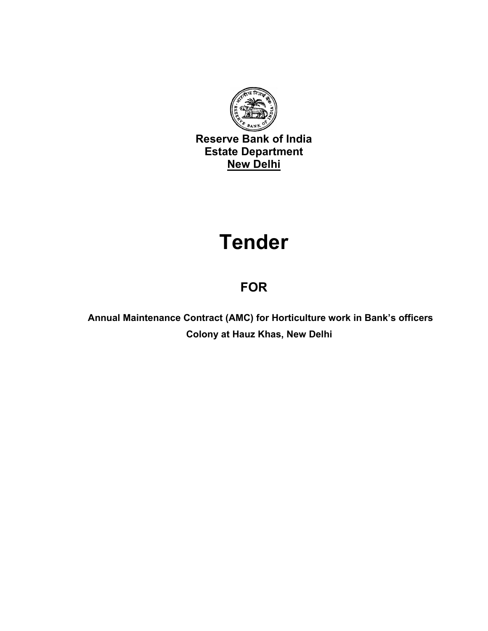

**Reserve Bank of India Estate Department New Delhi**

# **Tender**

# **FOR**

 **Annual Maintenance Contract (AMC) for Horticulture work in Bank's officers Colony at Hauz Khas, New Delhi**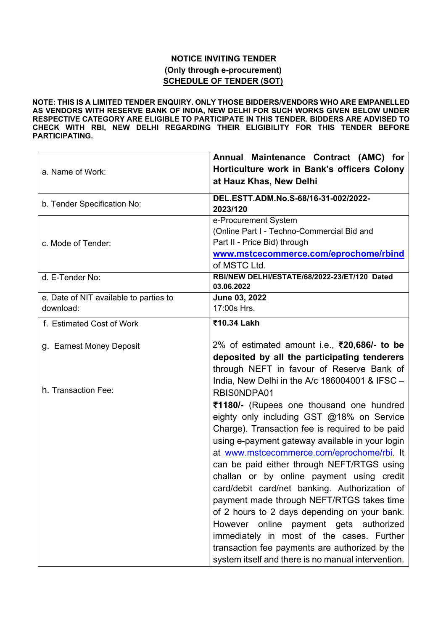#### **NOTICE INVITING TENDER (Only through e-procurement) SCHEDULE OF TENDER (SOT)**

**NOTE: THIS IS A LIMITED TENDER ENQUIRY. ONLY THOSE BIDDERS/VENDORS WHO ARE EMPANELLED AS VENDORS WITH RESERVE BANK OF INDIA, NEW DELHI FOR SUCH WORKS GIVEN BELOW UNDER RESPECTIVE CATEGORY ARE ELIGIBLE TO PARTICIPATE IN THIS TENDER. BIDDERS ARE ADVISED TO CHECK WITH RBI, NEW DELHI REGARDING THEIR ELIGIBILITY FOR THIS TENDER BEFORE PARTICIPATING.**

|                                        | Annual Maintenance Contract (AMC) for              |
|----------------------------------------|----------------------------------------------------|
| a. Name of Work:                       | Horticulture work in Bank's officers Colony        |
|                                        | at Hauz Khas, New Delhi                            |
|                                        |                                                    |
| b. Tender Specification No:            | DEL.ESTT.ADM.No.S-68/16-31-002/2022-               |
|                                        | 2023/120                                           |
|                                        | e-Procurement System                               |
|                                        | (Online Part I - Techno-Commercial Bid and         |
| c. Mode of Tender:                     | Part II - Price Bid) through                       |
|                                        | www.mstcecommerce.com/eprochome/rbind              |
|                                        | of MSTC Ltd.                                       |
| d. E-Tender No:                        | RBI/NEW DELHI/ESTATE/68/2022-23/ET/120 Dated       |
|                                        | 03.06.2022                                         |
| e. Date of NIT available to parties to | June 03, 2022                                      |
| download:                              | 17:00s Hrs.                                        |
| f. Estimated Cost of Work              | ₹10.34 Lakh                                        |
|                                        |                                                    |
| g. Earnest Money Deposit               | 2% of estimated amount i.e., ₹20,686/- to be       |
|                                        | deposited by all the participating tenderers       |
|                                        | through NEFT in favour of Reserve Bank of          |
|                                        | India, New Delhi in the A/c $186004001$ & IFSC $-$ |
| h. Transaction Fee:                    |                                                    |
|                                        | RBIS0NDPA01                                        |
|                                        | ₹1180/- (Rupees one thousand one hundred           |
|                                        | eighty only including GST @18% on Service          |
|                                        | Charge). Transaction fee is required to be paid    |
|                                        | using e-payment gateway available in your login    |
|                                        | at www.mstcecommerce.com/eprochome/rbi. It         |
|                                        | can be paid either through NEFT/RTGS using         |
|                                        | challan or by online payment using credit          |
|                                        | card/debit card/net banking. Authorization of      |
|                                        | payment made through NEFT/RTGS takes time          |
|                                        | of 2 hours to 2 days depending on your bank.       |
|                                        |                                                    |
|                                        | However online payment gets authorized             |
|                                        | immediately in most of the cases. Further          |
|                                        | transaction fee payments are authorized by the     |
|                                        | system itself and there is no manual intervention. |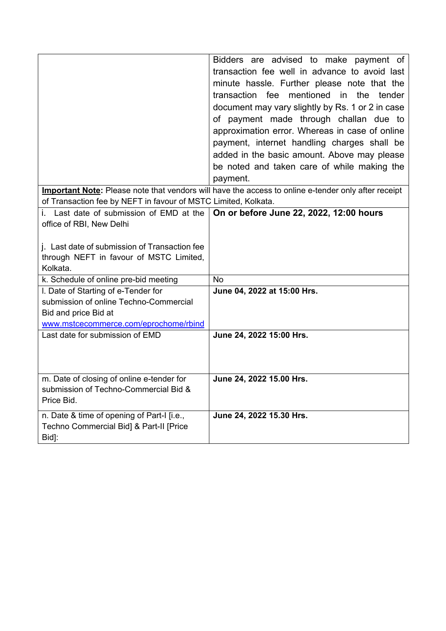|                                                                                                                                                | Bidders are advised to make payment of<br>transaction fee well in advance to avoid last<br>minute hassle. Further please note that the<br>transaction fee mentioned in the tender<br>document may vary slightly by Rs. 1 or 2 in case<br>of payment made through challan due to<br>approximation error. Whereas in case of online<br>payment, internet handling charges shall be<br>added in the basic amount. Above may please<br>be noted and taken care of while making the<br>payment. |
|------------------------------------------------------------------------------------------------------------------------------------------------|--------------------------------------------------------------------------------------------------------------------------------------------------------------------------------------------------------------------------------------------------------------------------------------------------------------------------------------------------------------------------------------------------------------------------------------------------------------------------------------------|
| of Transaction fee by NEFT in favour of MSTC Limited, Kolkata.                                                                                 | Important Note: Please note that vendors will have the access to online e-tender only after receipt                                                                                                                                                                                                                                                                                                                                                                                        |
| i. Last date of submission of EMD at the<br>office of RBI, New Delhi                                                                           | On or before June 22, 2022, 12:00 hours                                                                                                                                                                                                                                                                                                                                                                                                                                                    |
| j. Last date of submission of Transaction fee<br>through NEFT in favour of MSTC Limited,<br>Kolkata.                                           |                                                                                                                                                                                                                                                                                                                                                                                                                                                                                            |
| k. Schedule of online pre-bid meeting                                                                                                          | <b>No</b>                                                                                                                                                                                                                                                                                                                                                                                                                                                                                  |
| I. Date of Starting of e-Tender for<br>submission of online Techno-Commercial<br>Bid and price Bid at<br>www.mstcecommerce.com/eprochome/rbind | June 04, 2022 at 15:00 Hrs.                                                                                                                                                                                                                                                                                                                                                                                                                                                                |
| Last date for submission of EMD                                                                                                                | June 24, 2022 15:00 Hrs.                                                                                                                                                                                                                                                                                                                                                                                                                                                                   |
| m. Date of closing of online e-tender for<br>submission of Techno-Commercial Bid &<br>Price Bid.                                               | June 24, 2022 15.00 Hrs.                                                                                                                                                                                                                                                                                                                                                                                                                                                                   |
| n. Date & time of opening of Part-I [i.e.,<br>Techno Commercial Bid] & Part-II [Price<br>Bid]:                                                 | June 24, 2022 15.30 Hrs.                                                                                                                                                                                                                                                                                                                                                                                                                                                                   |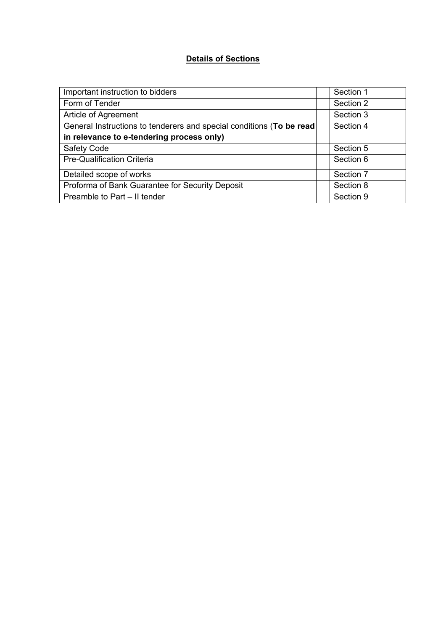# **Details of Sections**

| Important instruction to bidders                                     | Section 1 |
|----------------------------------------------------------------------|-----------|
| Form of Tender                                                       | Section 2 |
| Article of Agreement                                                 | Section 3 |
| General Instructions to tenderers and special conditions (To be read | Section 4 |
| in relevance to e-tendering process only)                            |           |
| <b>Safety Code</b>                                                   | Section 5 |
| <b>Pre-Qualification Criteria</b>                                    | Section 6 |
| Detailed scope of works                                              | Section 7 |
| Proforma of Bank Guarantee for Security Deposit                      | Section 8 |
| Preamble to Part - II tender                                         | Section 9 |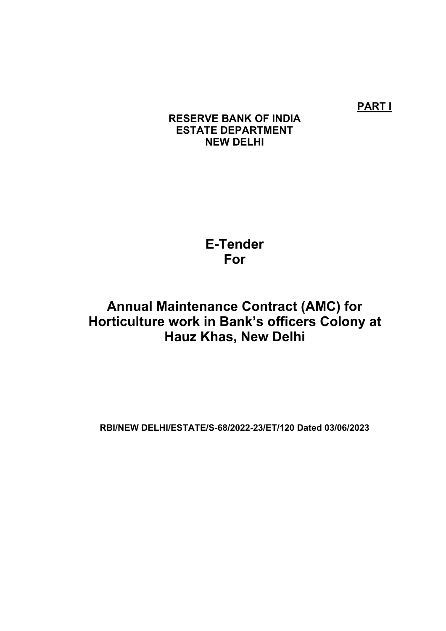**PART I**

# **RESERVE BANK OF INDIA ESTATE DEPARTMENT NEW DELHI**

**E-Tender For**

# **Annual Maintenance Contract (AMC) for Horticulture work in Bank's officers Colony at Hauz Khas, New Delhi**

**RBI/NEW DELHI/ESTATE/S-68/2022-23/ET/120 Dated 03/06/2023**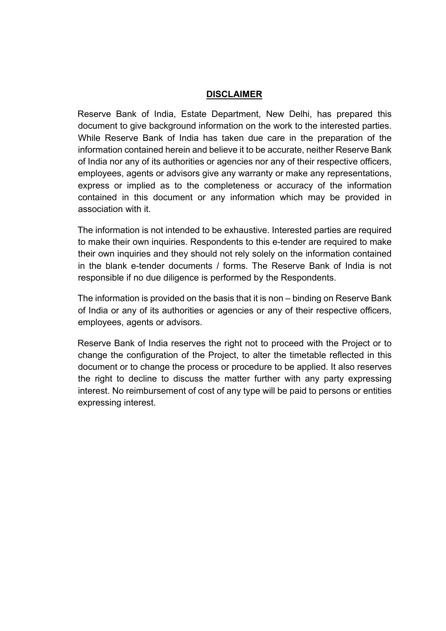#### **DISCLAIMER**

Reserve Bank of India, Estate Department, New Delhi, has prepared this document to give background information on the work to the interested parties. While Reserve Bank of India has taken due care in the preparation of the information contained herein and believe it to be accurate, neither Reserve Bank of India nor any of its authorities or agencies nor any of their respective officers, employees, agents or advisors give any warranty or make any representations, express or implied as to the completeness or accuracy of the information contained in this document or any information which may be provided in association with it.

The information is not intended to be exhaustive. Interested parties are required to make their own inquiries. Respondents to this e-tender are required to make their own inquiries and they should not rely solely on the information contained in the blank e-tender documents / forms. The Reserve Bank of India is not responsible if no due diligence is performed by the Respondents.

The information is provided on the basis that it is non – binding on Reserve Bank of India or any of its authorities or agencies or any of their respective officers, employees, agents or advisors.

Reserve Bank of India reserves the right not to proceed with the Project or to change the configuration of the Project, to alter the timetable reflected in this document or to change the process or procedure to be applied. It also reserves the right to decline to discuss the matter further with any party expressing interest. No reimbursement of cost of any type will be paid to persons or entities expressing interest.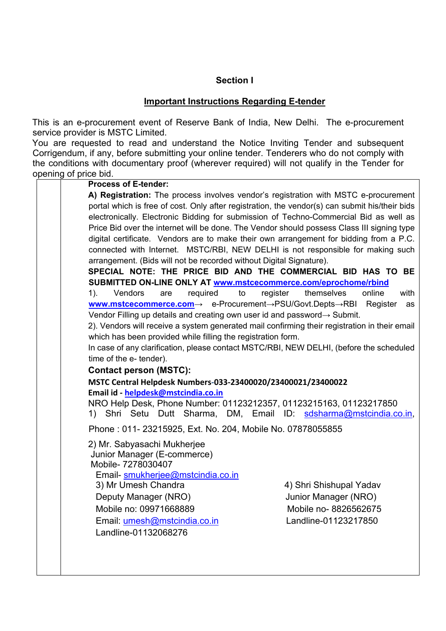#### **Section I**

#### **Important Instructions Regarding E-tender**

This is an e-procurement event of Reserve Bank of India, New Delhi. The e-procurement service provider is MSTC Limited.

You are requested to read and understand the Notice Inviting Tender and subsequent Corrigendum, if any, before submitting your online tender. Tenderers who do not comply with the conditions with documentary proof (wherever required) will not qualify in the Tender for opening of price bid.

| <b>Process of E-tender:</b>                                                                             |                |  |  |
|---------------------------------------------------------------------------------------------------------|----------------|--|--|
| A) Registration: The process involves vendor's registration with MSTC e-procurement                     |                |  |  |
| portal which is free of cost. Only after registration, the vendor(s) can submit his/their bids          |                |  |  |
| electronically. Electronic Bidding for submission of Techno-Commercial Bid as well as                   |                |  |  |
| Price Bid over the internet will be done. The Vendor should possess Class III signing type              |                |  |  |
| digital certificate. Vendors are to make their own arrangement for bidding from a P.C.                  |                |  |  |
| connected with Internet. MSTC/RBI, NEW DELHI is not responsible for making such                         |                |  |  |
| arrangement. (Bids will not be recorded without Digital Signature).                                     |                |  |  |
| SPECIAL NOTE: THE PRICE BID AND THE COMMERCIAL BID HAS TO BE                                            |                |  |  |
| SUBMITTED ON-LINE ONLY AT www.mstcecommerce.com/eprochome/rbind<br>Vendors<br>themselves<br>online      | with           |  |  |
| required<br>register<br>$1$ ).<br>to<br>are<br>www.mstcecommerce.com → e-Procurement→PSU/Govt.Depts→RBI | Register<br>as |  |  |
| Vendor Filling up details and creating own user id and password $\rightarrow$ Submit.                   |                |  |  |
| 2). Vendors will receive a system generated mail confirming their registration in their email           |                |  |  |
| which has been provided while filling the registration form.                                            |                |  |  |
| In case of any clarification, please contact MSTC/RBI, NEW DELHI, (before the scheduled                 |                |  |  |
| time of the e- tender).                                                                                 |                |  |  |
| <b>Contact person (MSTC):</b>                                                                           |                |  |  |
| MSTC Central Helpdesk Numbers-033-23400020/23400021/23400022                                            |                |  |  |
| Email id - helpdesk@mstcindia.co.in                                                                     |                |  |  |
| NRO Help Desk, Phone Number: 01123212357, 01123215163, 01123217850                                      |                |  |  |
| 1) Shri Setu Dutt Sharma, DM, Email ID: sdsharma@mstcindia.co.in,                                       |                |  |  |
| Phone: 011-23215925, Ext. No. 204, Mobile No. 07878055855                                               |                |  |  |
| 2) Mr. Sabyasachi Mukherjee                                                                             |                |  |  |
| Junior Manager (E-commerce)                                                                             |                |  |  |
| Mobile- 7278030407                                                                                      |                |  |  |
| Email-smukherjee@mstcindia.co.in                                                                        |                |  |  |
| 3) Mr Umesh Chandra<br>4) Shri Shishupal Yadav                                                          |                |  |  |
| Deputy Manager (NRO)<br>Junior Manager (NRO)                                                            |                |  |  |
| Mobile no: 09971668889<br>Mobile no-8826562675                                                          |                |  |  |
| Email: umesh@mstcindia.co.in<br>Landline-01123217850                                                    |                |  |  |
| Landline-01132068276                                                                                    |                |  |  |
|                                                                                                         |                |  |  |
|                                                                                                         |                |  |  |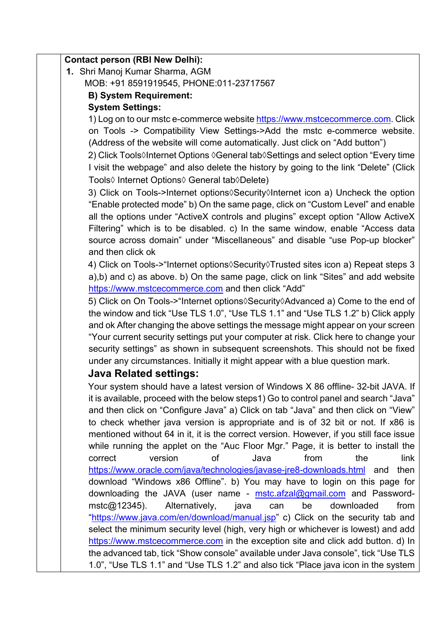| Contact person (RBI New Delhi):                                                                                                                                                                                                                                                                                                            |
|--------------------------------------------------------------------------------------------------------------------------------------------------------------------------------------------------------------------------------------------------------------------------------------------------------------------------------------------|
| 1. Shri Manoj Kumar Sharma, AGM                                                                                                                                                                                                                                                                                                            |
| MOB: +91 8591919545, PHONE:011-23717567                                                                                                                                                                                                                                                                                                    |
| <b>B) System Requirement:</b>                                                                                                                                                                                                                                                                                                              |
| <b>System Settings:</b>                                                                                                                                                                                                                                                                                                                    |
| 1) Log on to our mstc e-commerce website https://www.mstcecommerce.com. Click                                                                                                                                                                                                                                                              |
| on Tools -> Compatibility View Settings->Add the mstc e-commerce website.                                                                                                                                                                                                                                                                  |
| (Address of the website will come automatically. Just click on "Add button")                                                                                                                                                                                                                                                               |
| 2) Click Tools Internet Options $\Diamond$ General tab $\Diamond$ Settings and select option "Every time                                                                                                                                                                                                                                   |
| I visit the webpage" and also delete the history by going to the link "Delete" (Click                                                                                                                                                                                                                                                      |
| Tools◊ Internet Options◊ General tab◊Delete)                                                                                                                                                                                                                                                                                               |
| 3) Click on Tools->Internet options Security Internet icon a) Uncheck the option<br>"Enable protected mode" b) On the same page, click on "Custom Level" and enable<br>all the options under "ActiveX controls and plugins" except option "Allow ActiveX<br>Filtering" which is to be disabled. c) In the same window, enable "Access data |
| source across domain" under "Miscellaneous" and disable "use Pop-up blocker"<br>and then click ok                                                                                                                                                                                                                                          |
| 4) Click on Tools->"Internet options \Security \Trusted sites icon a) Repeat steps 3                                                                                                                                                                                                                                                       |
| a),b) and c) as above. b) On the same page, click on link "Sites" and add website                                                                                                                                                                                                                                                          |
| https://www.mstcecommerce.com and then click "Add"                                                                                                                                                                                                                                                                                         |
| 5) Click on On Tools->"Internet options \Security \Advanced a) Come to the end of                                                                                                                                                                                                                                                          |
| the window and tick "Use TLS 1.0", "Use TLS 1.1" and "Use TLS 1.2" b) Click apply                                                                                                                                                                                                                                                          |
| and ok After changing the above settings the message might appear on your screen                                                                                                                                                                                                                                                           |
| "Your current security settings put your computer at risk. Click here to change your                                                                                                                                                                                                                                                       |
| security settings" as shown in subsequent screenshots. This should not be fixed                                                                                                                                                                                                                                                            |
| under any circumstances. Initially it might appear with a blue question mark.                                                                                                                                                                                                                                                              |
| <b>Java Related settings:</b>                                                                                                                                                                                                                                                                                                              |
| Your system should have a latest version of Windows X 86 offline- 32-bit JAVA. If<br>it is available, proceed with the below steps1) Go to control panel and search "Java"<br>and then click on "Configure Java" a) Click on tab "Java" and then click on "View"                                                                           |
| to check whether java version is appropriate and is of 32 bit or not. If x86 is                                                                                                                                                                                                                                                            |
| mentioned without 64 in it, it is the correct version. However, if you still face issue                                                                                                                                                                                                                                                    |
| while running the applet on the "Auc Floor Mgr." Page, it is better to install the<br>version<br>from<br>correct<br>οf<br>Java<br>the<br>link                                                                                                                                                                                              |
| https://www.oracle.com/java/technologies/javase-jre8-downloads.html and<br>then                                                                                                                                                                                                                                                            |
| download "Windows x86 Offline". b) You may have to login on this page for                                                                                                                                                                                                                                                                  |
| downloading the JAVA (user name - mstc.afzal@gmail.com and Password-                                                                                                                                                                                                                                                                       |
| $mstc@12345$ ).<br>Alternatively,<br>be<br>downloaded<br>from<br>java<br>can                                                                                                                                                                                                                                                               |
| "https://www.java.com/en/download/manual.jsp" c) Click on the security tab and                                                                                                                                                                                                                                                             |
| select the minimum security level (high, very high or whichever is lowest) and add<br>https://www.mstcecommerce.com in the exception site and click add button. d) In                                                                                                                                                                      |
| the advanced tab, tick "Show console" available under Java console", tick "Use TLS                                                                                                                                                                                                                                                         |
|                                                                                                                                                                                                                                                                                                                                            |

1.0", "Use TLS 1.1" and "Use TLS 1.2" and also tick "Place java icon in the system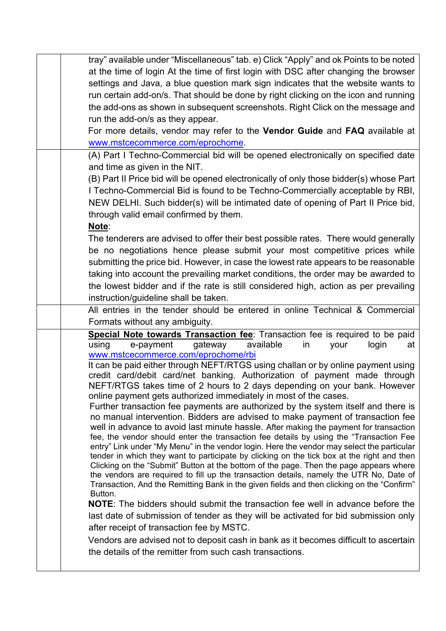| tray" available under "Miscellaneous" tab. e) Click "Apply" and ok Points to be noted                                                                                                |
|--------------------------------------------------------------------------------------------------------------------------------------------------------------------------------------|
|                                                                                                                                                                                      |
| at the time of login At the time of first login with DSC after changing the browser                                                                                                  |
| settings and Java, a blue question mark sign indicates that the website wants to                                                                                                     |
| run certain add-on/s. That should be done by right clicking on the icon and running                                                                                                  |
| the add-ons as shown in subsequent screenshots. Right Click on the message and                                                                                                       |
| run the add-on/s as they appear.                                                                                                                                                     |
| For more details, vendor may refer to the Vendor Guide and FAQ available at                                                                                                          |
| www.mstcecommerce.com/eprochome.                                                                                                                                                     |
| (A) Part I Techno-Commercial bid will be opened electronically on specified date                                                                                                     |
| and time as given in the NIT.                                                                                                                                                        |
| (B) Part II Price bid will be opened electronically of only those bidder(s) whose Part                                                                                               |
| I Techno-Commercial Bid is found to be Techno-Commercially acceptable by RBI,                                                                                                        |
| NEW DELHI. Such bidder(s) will be intimated date of opening of Part II Price bid,                                                                                                    |
| through valid email confirmed by them.                                                                                                                                               |
| Note:                                                                                                                                                                                |
| The tenderers are advised to offer their best possible rates. There would generally                                                                                                  |
| be no negotiations hence please submit your most competitive prices while                                                                                                            |
| submitting the price bid. However, in case the lowest rate appears to be reasonable                                                                                                  |
| taking into account the prevailing market conditions, the order may be awarded to                                                                                                    |
|                                                                                                                                                                                      |
| the lowest bidder and if the rate is still considered high, action as per prevailing                                                                                                 |
| instruction/guideline shall be taken.                                                                                                                                                |
|                                                                                                                                                                                      |
| All entries in the tender should be entered in online Technical & Commercial                                                                                                         |
| Formats without any ambiguity.                                                                                                                                                       |
| Special Note towards Transaction fee: Transaction fee is required to be paid                                                                                                         |
| using<br>available<br>e-payment<br>gateway<br>in<br>login<br>your<br>at                                                                                                              |
| www.mstcecommerce.com/eprochome/rbi                                                                                                                                                  |
| It can be paid either through NEFT/RTGS using challan or by online payment using                                                                                                     |
| credit card/debit card/net banking. Authorization of payment made through<br>NEFT/RTGS takes time of 2 hours to 2 days depending on your bank. However                               |
| online payment gets authorized immediately in most of the cases.                                                                                                                     |
| Further transaction fee payments are authorized by the system itself and there is                                                                                                    |
| no manual intervention. Bidders are advised to make payment of transaction fee                                                                                                       |
| well in advance to avoid last minute hassle. After making the payment for transaction                                                                                                |
| fee, the vendor should enter the transaction fee details by using the "Transaction Fee                                                                                               |
| entry" Link under "My Menu" in the vendor login. Here the vendor may select the particular                                                                                           |
| tender in which they want to participate by clicking on the tick box at the right and then<br>Clicking on the "Submit" Button at the bottom of the page. Then the page appears where |
| the vendors are required to fill up the transaction details, namely the UTR No, Date of                                                                                              |
| Transaction, And the Remitting Bank in the given fields and then clicking on the "Confirm"                                                                                           |
| Button.                                                                                                                                                                              |
| NOTE: The bidders should submit the transaction fee well in advance before the                                                                                                       |
| last date of submission of tender as they will be activated for bid submission only                                                                                                  |
| after receipt of transaction fee by MSTC.                                                                                                                                            |
| Vendors are advised not to deposit cash in bank as it becomes difficult to ascertain<br>the details of the remitter from such cash transactions.                                     |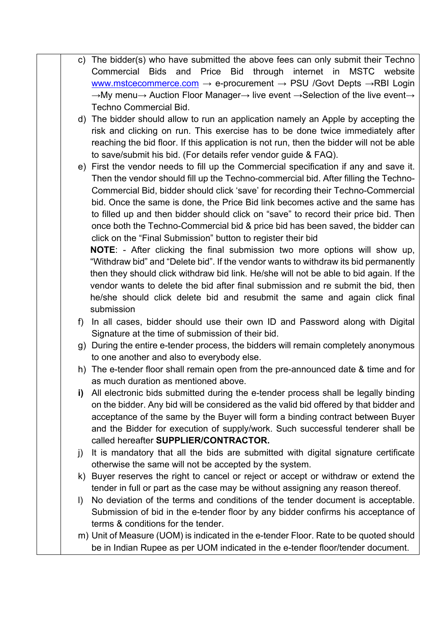- c) The bidder(s) who have submitted the above fees can only submit their Techno Commercial Bids and Price Bid through internet in MSTC website [www.mstcecommerce.com](https://www.mstcecommerce.com/)  $\rightarrow$  e-procurement  $\rightarrow$  PSU /Govt Depts  $\rightarrow$ RBI Login →My menu→ Auction Floor Manager→ live event →Selection of the live event→ Techno Commercial Bid.
- d) The bidder should allow to run an application namely an Apple by accepting the risk and clicking on run. This exercise has to be done twice immediately after reaching the bid floor. If this application is not run, then the bidder will not be able to save/submit his bid. (For details refer vendor guide & FAQ).
- e) First the vendor needs to fill up the Commercial specification if any and save it. Then the vendor should fill up the Techno-commercial bid. After filling the Techno-Commercial Bid, bidder should click 'save' for recording their Techno-Commercial bid. Once the same is done, the Price Bid link becomes active and the same has to filled up and then bidder should click on "save" to record their price bid. Then once both the Techno-Commercial bid & price bid has been saved, the bidder can click on the "Final Submission" button to register their bid

**NOTE**: - After clicking the final submission two more options will show up, "Withdraw bid" and "Delete bid". If the vendor wants to withdraw its bid permanently then they should click withdraw bid link. He/she will not be able to bid again. If the vendor wants to delete the bid after final submission and re submit the bid, then he/she should click delete bid and resubmit the same and again click final submission

- f) In all cases, bidder should use their own ID and Password along with Digital Signature at the time of submission of their bid.
- g) During the entire e-tender process, the bidders will remain completely anonymous to one another and also to everybody else.
- h) The e-tender floor shall remain open from the pre-announced date & time and for as much duration as mentioned above.
- **i)** All electronic bids submitted during the e-tender process shall be legally binding on the bidder. Any bid will be considered as the valid bid offered by that bidder and acceptance of the same by the Buyer will form a binding contract between Buyer and the Bidder for execution of supply/work. Such successful tenderer shall be called hereafter **SUPPLIER/CONTRACTOR.**
- j) It is mandatory that all the bids are submitted with digital signature certificate otherwise the same will not be accepted by the system.
- k) Buyer reserves the right to cancel or reject or accept or withdraw or extend the tender in full or part as the case may be without assigning any reason thereof.
- l) No deviation of the terms and conditions of the tender document is acceptable. Submission of bid in the e-tender floor by any bidder confirms his acceptance of terms & conditions for the tender.
- m) Unit of Measure (UOM) is indicated in the e-tender Floor. Rate to be quoted should be in Indian Rupee as per UOM indicated in the e-tender floor/tender document.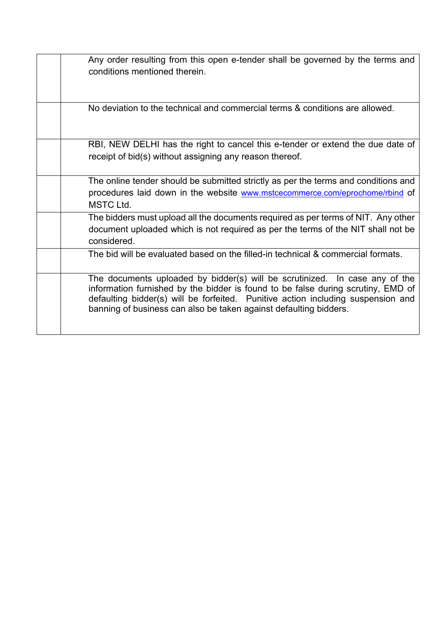| The documents uploaded by bidder(s) will be scrutinized. In case any of the<br>information furnished by the bidder is found to be false during scrutiny, EMD of<br>defaulting bidder(s) will be forfeited. Punitive action including suspension and<br>banning of business can also be taken against defaulting bidders. |
|--------------------------------------------------------------------------------------------------------------------------------------------------------------------------------------------------------------------------------------------------------------------------------------------------------------------------|
| The bid will be evaluated based on the filled-in technical & commercial formats.                                                                                                                                                                                                                                         |
| The bidders must upload all the documents required as per terms of NIT. Any other<br>document uploaded which is not required as per the terms of the NIT shall not be<br>considered.                                                                                                                                     |
| The online tender should be submitted strictly as per the terms and conditions and<br>procedures laid down in the website www.mstcecommerce.com/eprochome/rbind of<br><b>MSTC Ltd.</b>                                                                                                                                   |
| RBI, NEW DELHI has the right to cancel this e-tender or extend the due date of<br>receipt of bid(s) without assigning any reason thereof.                                                                                                                                                                                |
| No deviation to the technical and commercial terms & conditions are allowed.                                                                                                                                                                                                                                             |
| Any order resulting from this open e-tender shall be governed by the terms and<br>conditions mentioned therein.                                                                                                                                                                                                          |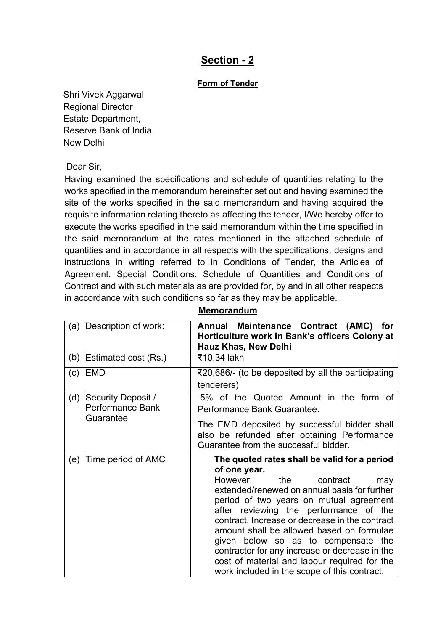# **Section - 2**

#### **Form of Tender**

Shri Vivek Aggarwal Regional Director Estate Department, Reserve Bank of India, New Delhi

Dear Sir,

Having examined the specifications and schedule of quantities relating to the works specified in the memorandum hereinafter set out and having examined the site of the works specified in the said memorandum and having acquired the requisite information relating thereto as affecting the tender, I/We hereby offer to execute the works specified in the said memorandum within the time specified in the said memorandum at the rates mentioned in the attached schedule of quantities and in accordance in all respects with the specifications, designs and instructions in writing referred to in Conditions of Tender, the Articles of Agreement, Special Conditions, Schedule of Quantities and Conditions of Contract and with such materials as are provided for, by and in all other respects in accordance with such conditions so far as they may be applicable.

| (a) | Description of work:                                | Maintenance Contract (AMC) for<br>Annual<br>Horticulture work in Bank's officers Colony at<br>Hauz Khas, New Delhi                                                                                                                                                                                                                                                                                                                                                                                                           |
|-----|-----------------------------------------------------|------------------------------------------------------------------------------------------------------------------------------------------------------------------------------------------------------------------------------------------------------------------------------------------------------------------------------------------------------------------------------------------------------------------------------------------------------------------------------------------------------------------------------|
| (b) | Estimated cost (Rs.)                                | ₹10.34 lakh                                                                                                                                                                                                                                                                                                                                                                                                                                                                                                                  |
| (c) | EMD                                                 | ₹20,686/- (to be deposited by all the participating<br>tenderers)                                                                                                                                                                                                                                                                                                                                                                                                                                                            |
| (d) | Security Deposit /<br>Performance Bank<br>Guarantee | 5% of the Quoted Amount in the form of<br>Performance Bank Guarantee.                                                                                                                                                                                                                                                                                                                                                                                                                                                        |
|     |                                                     | The EMD deposited by successful bidder shall<br>also be refunded after obtaining Performance<br>Guarantee from the successful bidder.                                                                                                                                                                                                                                                                                                                                                                                        |
| (e) | Time period of AMC                                  | The quoted rates shall be valid for a period<br>of one year.<br>However, the<br>contract<br>may<br>extended/renewed on annual basis for further<br>period of two years on mutual agreement<br>after reviewing the performance of the<br>contract. Increase or decrease in the contract<br>amount shall be allowed based on formulae<br>given below so as to compensate the<br>contractor for any increase or decrease in the<br>cost of material and labour required for the<br>work included in the scope of this contract: |

**Memorandum**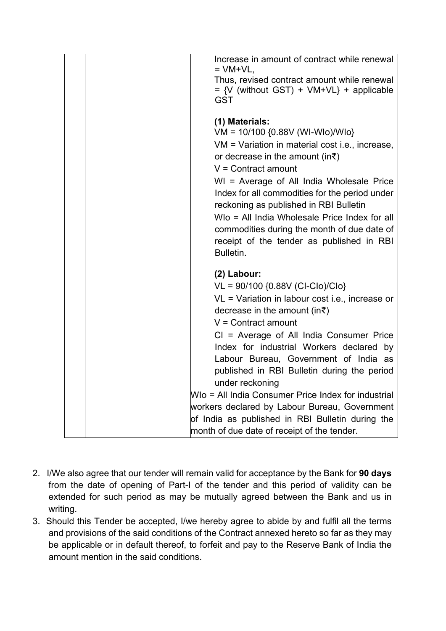| Increase in amount of contract while renewal<br>$=$ VM+VL,                                                                                                                                                                                                                                      |
|-------------------------------------------------------------------------------------------------------------------------------------------------------------------------------------------------------------------------------------------------------------------------------------------------|
| Thus, revised contract amount while renewal<br>$= \{V \text{ (without GST)} + VM+VL\} + \text{applicable}$<br><b>GST</b>                                                                                                                                                                        |
| (1) Materials:<br>VM = 10/100 {0.88V (WI-WIo)/WIo}<br>VM = Variation in material cost i.e., increase,                                                                                                                                                                                           |
| or decrease in the amount (in $\bar{\tau}$ )<br>$V =$ Contract amount                                                                                                                                                                                                                           |
| WI = Average of All India Wholesale Price<br>Index for all commodities for the period under<br>reckoning as published in RBI Bulletin<br>WIo = All India Wholesale Price Index for all<br>commodities during the month of due date of<br>receipt of the tender as published in RBI<br>Bulletin. |
| (2) Labour:                                                                                                                                                                                                                                                                                     |
| VL = 90/100 {0.88V (CI-Clo)/Clo}<br>$VL = Variation$ in labour cost i.e., increase or<br>decrease in the amount (in $\bar{\tau}$ )<br>$V =$ Contract amount                                                                                                                                     |
| CI = Average of All India Consumer Price<br>Index for industrial Workers declared by<br>Labour Bureau, Government of India as<br>published in RBI Bulletin during the period<br>under reckoning                                                                                                 |
| WIo = All India Consumer Price Index for industrial                                                                                                                                                                                                                                             |
| workers declared by Labour Bureau, Government<br>of India as published in RBI Bulletin during the<br>month of due date of receipt of the tender.                                                                                                                                                |

- 2. I/We also agree that our tender will remain valid for acceptance by the Bank for **90 days** from the date of opening of Part-I of the tender and this period of validity can be extended for such period as may be mutually agreed between the Bank and us in writing.
- 3. Should this Tender be accepted, I/we hereby agree to abide by and fulfil all the terms and provisions of the said conditions of the Contract annexed hereto so far as they may be applicable or in default thereof, to forfeit and pay to the Reserve Bank of India the amount mention in the said conditions.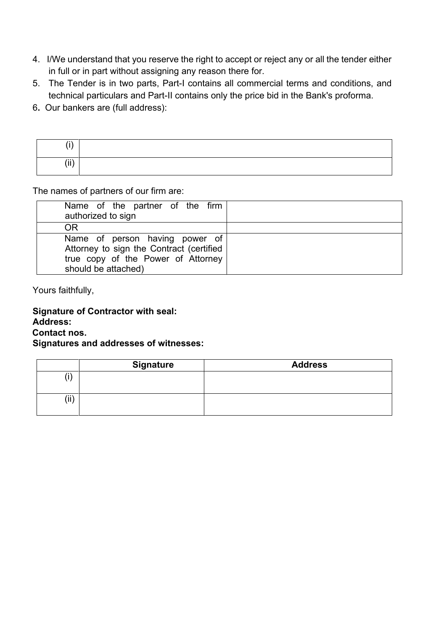- 4. I/We understand that you reserve the right to accept or reject any or all the tender either in full or in part without assigning any reason there for.
- 5. The Tender is in two parts, Part-I contains all commercial terms and conditions, and technical particulars and Part-II contains only the price bid in the Bank's proforma.
- 6**.** Our bankers are (full address):

| $\cdots$  |  |
|-----------|--|
| 1.11<br>. |  |

The names of partners of our firm are:

| Name of the partner of the firm<br>authorized to sign                                                                                   |  |
|-----------------------------------------------------------------------------------------------------------------------------------------|--|
| OR                                                                                                                                      |  |
| Name of person having power of<br>Attorney to sign the Contract (certified<br>true copy of the Power of Attorney<br>should be attached) |  |

Yours faithfully,

# **Signature of Contractor with seal:**

**Address:**

**Contact nos.**

#### **Signatures and addresses of witnesses:**

|      | <b>Signature</b> | <b>Address</b> |
|------|------------------|----------------|
|      |                  |                |
| (ii) |                  |                |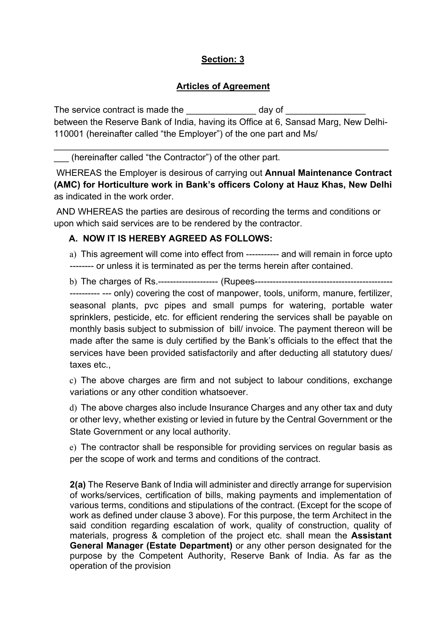# **Section: 3**

#### **Articles of Agreement**

The service contract is made the day of between the Reserve Bank of India, having its Office at 6, Sansad Marg, New Delhi-110001 (hereinafter called "the Employer") of the one part and Ms/

\_\_\_\_\_\_\_\_\_\_\_\_\_\_\_\_\_\_\_\_\_\_\_\_\_\_\_\_\_\_\_\_\_\_\_\_\_\_\_\_\_\_\_\_\_\_\_\_\_\_\_\_\_\_\_\_\_\_\_\_\_\_\_\_\_\_\_

(hereinafter called "the Contractor") of the other part.

WHEREAS the Employer is desirous of carrying out **Annual Maintenance Contract (AMC) for Horticulture work in Bank's officers Colony at Hauz Khas, New Delhi**  as indicated in the work order.

AND WHEREAS the parties are desirous of recording the terms and conditions or upon which said services are to be rendered by the contractor.

#### **A. NOW IT IS HEREBY AGREED AS FOLLOWS:**

a) This agreement will come into effect from ----------- and will remain in force upto -------- or unless it is terminated as per the terms herein after contained.

b) The charges of Rs.-------------------- (Rupees---------------------------------------------- ---------- --- only) covering the cost of manpower, tools, uniform, manure, fertilizer, seasonal plants, pvc pipes and small pumps for watering, portable water sprinklers, pesticide, etc. for efficient rendering the services shall be payable on monthly basis subject to submission of bill/ invoice. The payment thereon will be made after the same is duly certified by the Bank's officials to the effect that the services have been provided satisfactorily and after deducting all statutory dues/ taxes etc.,

c) The above charges are firm and not subject to labour conditions, exchange variations or any other condition whatsoever.

d) The above charges also include Insurance Charges and any other tax and duty or other levy, whether existing or levied in future by the Central Government or the State Government or any local authority.

e) The contractor shall be responsible for providing services on regular basis as per the scope of work and terms and conditions of the contract.

**2(a)** The Reserve Bank of India will administer and directly arrange for supervision of works/services, certification of bills, making payments and implementation of various terms, conditions and stipulations of the contract. (Except for the scope of work as defined under clause 3 above). For this purpose, the term Architect in the said condition regarding escalation of work, quality of construction, quality of materials, progress & completion of the project etc. shall mean the **Assistant General Manager (Estate Department)** or any other person designated for the purpose by the Competent Authority, Reserve Bank of India. As far as the operation of the provision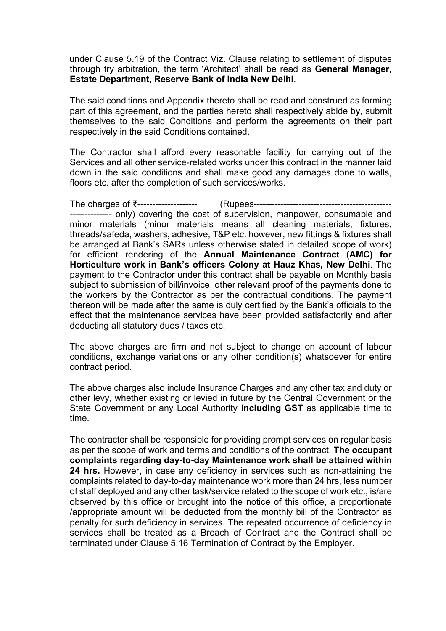under Clause 5.19 of the Contract Viz. Clause relating to settlement of disputes through try arbitration, the term 'Architect' shall be read as **General Manager, Estate Department, Reserve Bank of India New Delhi**.

The said conditions and Appendix thereto shall be read and construed as forming part of this agreement, and the parties hereto shall respectively abide by, submit themselves to the said Conditions and perform the agreements on their part respectively in the said Conditions contained.

The Contractor shall afford every reasonable facility for carrying out of the Services and all other service-related works under this contract in the manner laid down in the said conditions and shall make good any damages done to walls, floors etc. after the completion of such services/works.

The charges of ₹-------------------- (Rupees---------------------------------------------- -------------- only) covering the cost of supervision, manpower, consumable and minor materials (minor materials means all cleaning materials, fixtures, threads/safeda, washers, adhesive, T&P etc. however, new fittings & fixtures shall be arranged at Bank's SARs unless otherwise stated in detailed scope of work) for efficient rendering of the **Annual Maintenance Contract (AMC) for Horticulture work in Bank's officers Colony at Hauz Khas, New Delhi**. The payment to the Contractor under this contract shall be payable on Monthly basis subject to submission of bill/invoice, other relevant proof of the payments done to the workers by the Contractor as per the contractual conditions. The payment thereon will be made after the same is duly certified by the Bank's officials to the effect that the maintenance services have been provided satisfactorily and after deducting all statutory dues / taxes etc.

The above charges are firm and not subject to change on account of labour conditions, exchange variations or any other condition(s) whatsoever for entire contract period.

The above charges also include Insurance Charges and any other tax and duty or other levy, whether existing or levied in future by the Central Government or the State Government or any Local Authority **including GST** as applicable time to time.

The contractor shall be responsible for providing prompt services on regular basis as per the scope of work and terms and conditions of the contract. **The occupant complaints regarding day-to-day Maintenance work shall be attained within 24 hrs.** However, in case any deficiency in services such as non-attaining the complaints related to day-to-day maintenance work more than 24 hrs, less number of staff deployed and any other task/service related to the scope of work etc., is/are observed by this office or brought into the notice of this office, a proportionate /appropriate amount will be deducted from the monthly bill of the Contractor as penalty for such deficiency in services. The repeated occurrence of deficiency in services shall be treated as a Breach of Contract and the Contract shall be terminated under Clause 5.16 Termination of Contract by the Employer.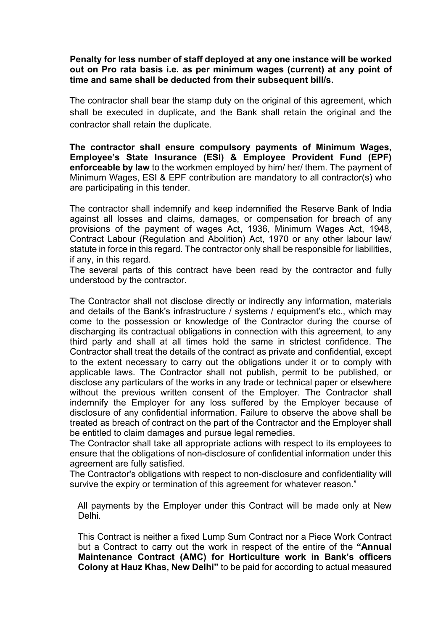**Penalty for less number of staff deployed at any one instance will be worked out on Pro rata basis i.e. as per minimum wages (current) at any point of time and same shall be deducted from their subsequent bill/s.** 

The contractor shall bear the stamp duty on the original of this agreement, which shall be executed in duplicate, and the Bank shall retain the original and the contractor shall retain the duplicate.

**The contractor shall ensure compulsory payments of Minimum Wages, Employee's State Insurance (ESI) & Employee Provident Fund (EPF) enforceable by law** to the workmen employed by him/ her/ them. The payment of Minimum Wages, ESI & EPF contribution are mandatory to all contractor(s) who are participating in this tender.

The contractor shall indemnify and keep indemnified the Reserve Bank of India against all losses and claims, damages, or compensation for breach of any provisions of the payment of wages Act, 1936, Minimum Wages Act, 1948, Contract Labour (Regulation and Abolition) Act, 1970 or any other labour law/ statute in force in this regard. The contractor only shall be responsible for liabilities, if any, in this regard.

The several parts of this contract have been read by the contractor and fully understood by the contractor.

The Contractor shall not disclose directly or indirectly any information, materials and details of the Bank's infrastructure / systems / equipment's etc., which may come to the possession or knowledge of the Contractor during the course of discharging its contractual obligations in connection with this agreement, to any third party and shall at all times hold the same in strictest confidence. The Contractor shall treat the details of the contract as private and confidential, except to the extent necessary to carry out the obligations under it or to comply with applicable laws. The Contractor shall not publish, permit to be published, or disclose any particulars of the works in any trade or technical paper or elsewhere without the previous written consent of the Employer. The Contractor shall indemnify the Employer for any loss suffered by the Employer because of disclosure of any confidential information. Failure to observe the above shall be treated as breach of contract on the part of the Contractor and the Employer shall be entitled to claim damages and pursue legal remedies.

The Contractor shall take all appropriate actions with respect to its employees to ensure that the obligations of non-disclosure of confidential information under this agreement are fully satisfied.

The Contractor's obligations with respect to non-disclosure and confidentiality will survive the expiry or termination of this agreement for whatever reason."

All payments by the Employer under this Contract will be made only at New Delhi.

This Contract is neither a fixed Lump Sum Contract nor a Piece Work Contract but a Contract to carry out the work in respect of the entire of the **"Annual Maintenance Contract (AMC) for Horticulture work in Bank's officers Colony at Hauz Khas, New Delhi"** to be paid for according to actual measured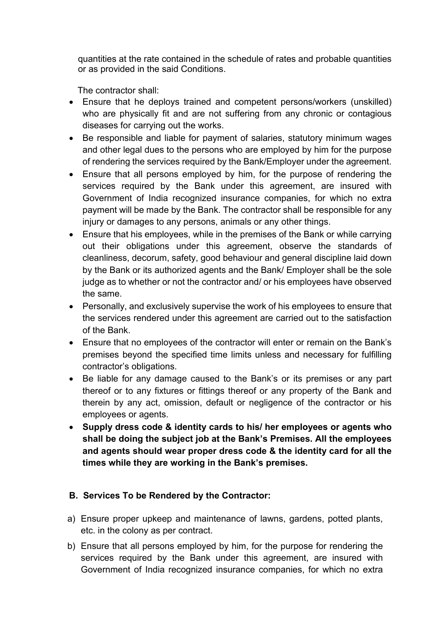quantities at the rate contained in the schedule of rates and probable quantities or as provided in the said Conditions.

The contractor shall:

- Ensure that he deploys trained and competent persons/workers (unskilled) who are physically fit and are not suffering from any chronic or contagious diseases for carrying out the works.
- Be responsible and liable for payment of salaries, statutory minimum wages and other legal dues to the persons who are employed by him for the purpose of rendering the services required by the Bank/Employer under the agreement.
- Ensure that all persons employed by him, for the purpose of rendering the services required by the Bank under this agreement, are insured with Government of India recognized insurance companies, for which no extra payment will be made by the Bank. The contractor shall be responsible for any injury or damages to any persons, animals or any other things.
- Ensure that his employees, while in the premises of the Bank or while carrying out their obligations under this agreement, observe the standards of cleanliness, decorum, safety, good behaviour and general discipline laid down by the Bank or its authorized agents and the Bank/ Employer shall be the sole judge as to whether or not the contractor and/ or his employees have observed the same.
- Personally, and exclusively supervise the work of his employees to ensure that the services rendered under this agreement are carried out to the satisfaction of the Bank.
- Ensure that no employees of the contractor will enter or remain on the Bank's premises beyond the specified time limits unless and necessary for fulfilling contractor's obligations.
- Be liable for any damage caused to the Bank's or its premises or any part thereof or to any fixtures or fittings thereof or any property of the Bank and therein by any act, omission, default or negligence of the contractor or his employees or agents.
- **Supply dress code & identity cards to his/ her employees or agents who shall be doing the subject job at the Bank's Premises. All the employees and agents should wear proper dress code & the identity card for all the times while they are working in the Bank's premises.**

# **B. Services To be Rendered by the Contractor:**

- a) Ensure proper upkeep and maintenance of lawns, gardens, potted plants, etc. in the colony as per contract.
- b) Ensure that all persons employed by him, for the purpose for rendering the services required by the Bank under this agreement, are insured with Government of India recognized insurance companies, for which no extra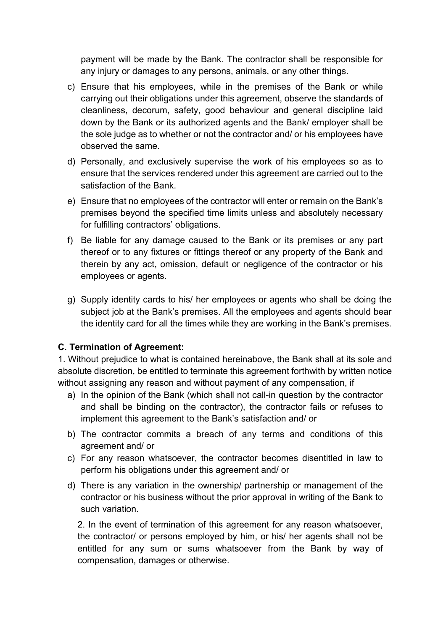payment will be made by the Bank. The contractor shall be responsible for any injury or damages to any persons, animals, or any other things.

- c) Ensure that his employees, while in the premises of the Bank or while carrying out their obligations under this agreement, observe the standards of cleanliness, decorum, safety, good behaviour and general discipline laid down by the Bank or its authorized agents and the Bank/ employer shall be the sole judge as to whether or not the contractor and/ or his employees have observed the same.
- d) Personally, and exclusively supervise the work of his employees so as to ensure that the services rendered under this agreement are carried out to the satisfaction of the Bank.
- e) Ensure that no employees of the contractor will enter or remain on the Bank's premises beyond the specified time limits unless and absolutely necessary for fulfilling contractors' obligations.
- f) Be liable for any damage caused to the Bank or its premises or any part thereof or to any fixtures or fittings thereof or any property of the Bank and therein by any act, omission, default or negligence of the contractor or his employees or agents.
- g) Supply identity cards to his/ her employees or agents who shall be doing the subject job at the Bank's premises. All the employees and agents should bear the identity card for all the times while they are working in the Bank's premises.

# **C**. **Termination of Agreement:**

1. Without prejudice to what is contained hereinabove, the Bank shall at its sole and absolute discretion, be entitled to terminate this agreement forthwith by written notice without assigning any reason and without payment of any compensation, if

- a) In the opinion of the Bank (which shall not call-in question by the contractor and shall be binding on the contractor), the contractor fails or refuses to implement this agreement to the Bank's satisfaction and/ or
- b) The contractor commits a breach of any terms and conditions of this agreement and/ or
- c) For any reason whatsoever, the contractor becomes disentitled in law to perform his obligations under this agreement and/ or
- d) There is any variation in the ownership/ partnership or management of the contractor or his business without the prior approval in writing of the Bank to such variation.

2. In the event of termination of this agreement for any reason whatsoever, the contractor/ or persons employed by him, or his/ her agents shall not be entitled for any sum or sums whatsoever from the Bank by way of compensation, damages or otherwise.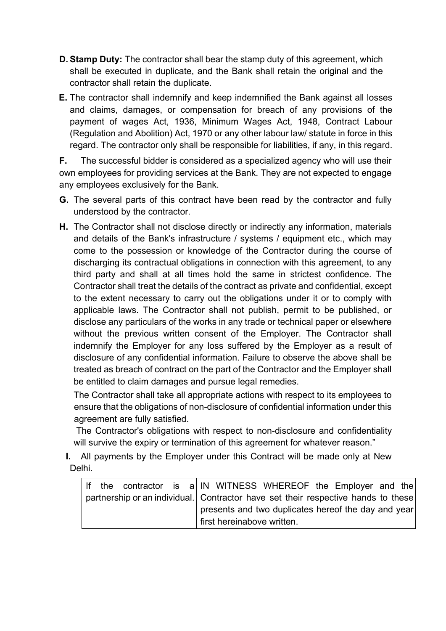- **D. Stamp Duty:** The contractor shall bear the stamp duty of this agreement, which shall be executed in duplicate, and the Bank shall retain the original and the contractor shall retain the duplicate.
- **E.** The contractor shall indemnify and keep indemnified the Bank against all losses and claims, damages, or compensation for breach of any provisions of the payment of wages Act, 1936, Minimum Wages Act, 1948, Contract Labour (Regulation and Abolition) Act, 1970 or any other labour law/ statute in force in this regard. The contractor only shall be responsible for liabilities, if any, in this regard.

**F.** The successful bidder is considered as a specialized agency who will use their own employees for providing services at the Bank. They are not expected to engage any employees exclusively for the Bank.

- **G.** The several parts of this contract have been read by the contractor and fully understood by the contractor.
- **H.** The Contractor shall not disclose directly or indirectly any information, materials and details of the Bank's infrastructure / systems / equipment etc., which may come to the possession or knowledge of the Contractor during the course of discharging its contractual obligations in connection with this agreement, to any third party and shall at all times hold the same in strictest confidence. The Contractor shall treat the details of the contract as private and confidential, except to the extent necessary to carry out the obligations under it or to comply with applicable laws. The Contractor shall not publish, permit to be published, or disclose any particulars of the works in any trade or technical paper or elsewhere without the previous written consent of the Employer. The Contractor shall indemnify the Employer for any loss suffered by the Employer as a result of disclosure of any confidential information. Failure to observe the above shall be treated as breach of contract on the part of the Contractor and the Employer shall be entitled to claim damages and pursue legal remedies.

The Contractor shall take all appropriate actions with respect to its employees to ensure that the obligations of non-disclosure of confidential information under this agreement are fully satisfied.

The Contractor's obligations with respect to non-disclosure and confidentiality will survive the expiry or termination of this agreement for whatever reason."

**I.** All payments by the Employer under this Contract will be made only at New Delhi.

|  |  |  |  |  |  |                                                                                   | If the contractor is a IN WITNESS WHEREOF the Employer and the |  |  |  |  |
|--|--|--|--|--|--|-----------------------------------------------------------------------------------|----------------------------------------------------------------|--|--|--|--|
|  |  |  |  |  |  | partnership or an individual. Contractor have set their respective hands to these |                                                                |  |  |  |  |
|  |  |  |  |  |  |                                                                                   | presents and two duplicates hereof the day and year            |  |  |  |  |
|  |  |  |  |  |  | first hereinabove written.                                                        |                                                                |  |  |  |  |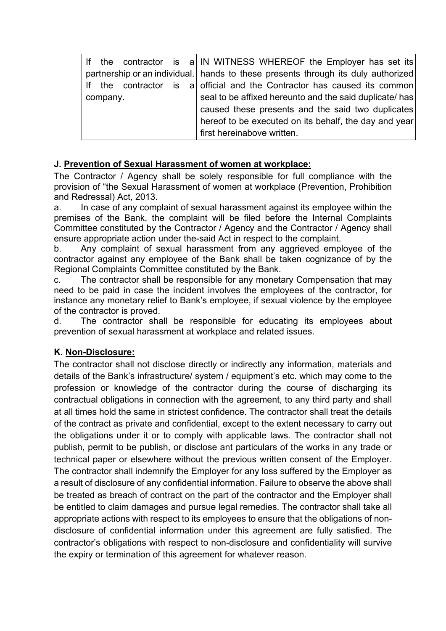|  |          |  |  | If the contractor is a IN WITNESS WHEREOF the Employer has set its                |  |  |  |  |  |
|--|----------|--|--|-----------------------------------------------------------------------------------|--|--|--|--|--|
|  |          |  |  | partnership or an individual. hands to these presents through its duly authorized |  |  |  |  |  |
|  |          |  |  | If the contractor is a official and the Contractor has caused its common          |  |  |  |  |  |
|  | company. |  |  | seal to be affixed hereunto and the said duplicate/ has                           |  |  |  |  |  |
|  |          |  |  | caused these presents and the said two duplicates                                 |  |  |  |  |  |
|  |          |  |  | hereof to be executed on its behalf, the day and year                             |  |  |  |  |  |
|  |          |  |  | first hereinabove written.                                                        |  |  |  |  |  |

#### **J. Prevention of Sexual Harassment of women at workplace:**

The Contractor / Agency shall be solely responsible for full compliance with the provision of "the Sexual Harassment of women at workplace (Prevention, Prohibition and Redressal) Act, 2013.

a. In case of any complaint of sexual harassment against its employee within the premises of the Bank, the complaint will be filed before the Internal Complaints Committee constituted by the Contractor / Agency and the Contractor / Agency shall ensure appropriate action under the-said Act in respect to the complaint.

b. Any complaint of sexual harassment from any aggrieved employee of the contractor against any employee of the Bank shall be taken cognizance of by the Regional Complaints Committee constituted by the Bank.

c. The contractor shall be responsible for any monetary Compensation that may need to be paid in case the incident involves the employees of the contractor, for instance any monetary relief to Bank's employee, if sexual violence by the employee of the contractor is proved.

d. The contractor shall be responsible for educating its employees about prevention of sexual harassment at workplace and related issues.

#### **K. Non-Disclosure:**

The contractor shall not disclose directly or indirectly any information, materials and details of the Bank's infrastructure/ system / equipment's etc. which may come to the profession or knowledge of the contractor during the course of discharging its contractual obligations in connection with the agreement, to any third party and shall at all times hold the same in strictest confidence. The contractor shall treat the details of the contract as private and confidential, except to the extent necessary to carry out the obligations under it or to comply with applicable laws. The contractor shall not publish, permit to be publish, or disclose ant particulars of the works in any trade or technical paper or elsewhere without the previous written consent of the Employer. The contractor shall indemnify the Employer for any loss suffered by the Employer as a result of disclosure of any confidential information. Failure to observe the above shall be treated as breach of contract on the part of the contractor and the Employer shall be entitled to claim damages and pursue legal remedies. The contractor shall take all appropriate actions with respect to its employees to ensure that the obligations of nondisclosure of confidential information under this agreement are fully satisfied. The contractor's obligations with respect to non-disclosure and confidentiality will survive the expiry or termination of this agreement for whatever reason.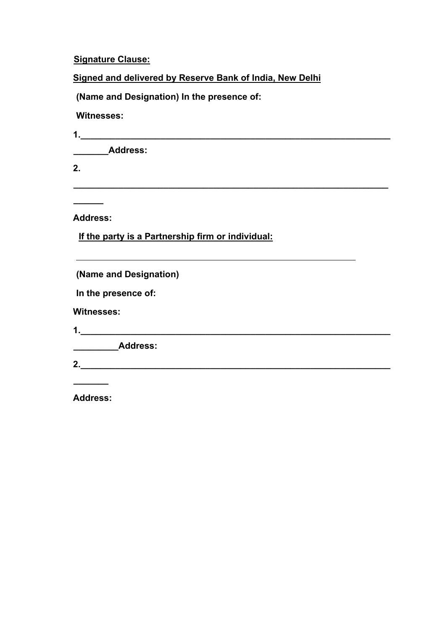#### **Signature Clause:**

**Signed and delivered by Reserve Bank of India, New Delhi**

**\_\_\_\_\_\_\_\_\_\_\_\_\_\_\_\_\_\_\_\_\_\_\_\_\_\_\_\_\_\_\_\_\_\_\_\_\_\_\_\_\_\_\_\_\_\_\_\_\_\_\_\_\_\_\_\_\_\_\_\_\_\_\_**

**(Name and Designation) In the presence of:** 

**Witnesses:** 

**1.\_\_\_\_\_\_\_\_\_\_\_\_\_\_\_\_\_\_\_\_\_\_\_\_\_\_\_\_\_\_\_\_\_\_\_\_\_\_\_\_\_\_\_\_\_\_\_\_\_\_\_\_\_\_\_\_\_\_\_\_\_\_**

**\_\_\_\_\_\_\_Address:** 

**2.** 

**Address:** 

**\_\_\_\_\_\_**

 **If the party is a Partnership firm or individual:**

**(Name and Designation)** 

**In the presence of:** 

**Witnesses:** 

**1.\_\_\_\_\_\_\_\_\_\_\_\_\_\_\_\_\_\_\_\_\_\_\_\_\_\_\_\_\_\_\_\_\_\_\_\_\_\_\_\_\_\_\_\_\_\_\_\_\_\_\_\_\_\_\_\_\_\_\_\_\_\_**

**\_\_\_\_\_\_\_\_\_Address:** 

**2.\_\_\_\_\_\_\_\_\_\_\_\_\_\_\_\_\_\_\_\_\_\_\_\_\_\_\_\_\_\_\_\_\_\_\_\_\_\_\_\_\_\_\_\_\_\_\_\_\_\_\_\_\_\_\_\_\_\_\_\_\_\_**

**Address:**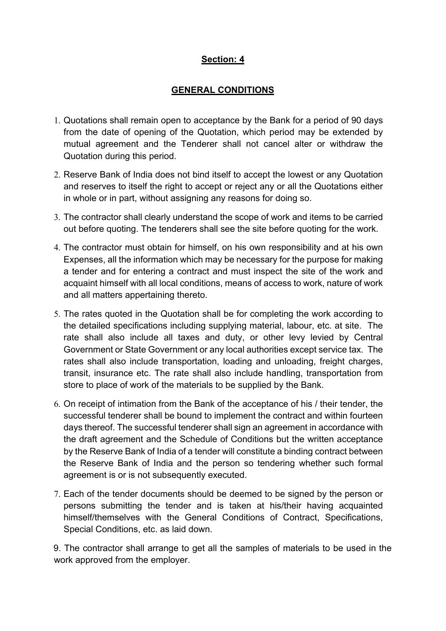# **Section: 4**

#### **GENERAL CONDITIONS**

- 1. Quotations shall remain open to acceptance by the Bank for a period of 90 days from the date of opening of the Quotation, which period may be extended by mutual agreement and the Tenderer shall not cancel alter or withdraw the Quotation during this period.
- 2. Reserve Bank of India does not bind itself to accept the lowest or any Quotation and reserves to itself the right to accept or reject any or all the Quotations either in whole or in part, without assigning any reasons for doing so.
- 3. The contractor shall clearly understand the scope of work and items to be carried out before quoting. The tenderers shall see the site before quoting for the work.
- 4. The contractor must obtain for himself, on his own responsibility and at his own Expenses, all the information which may be necessary for the purpose for making a tender and for entering a contract and must inspect the site of the work and acquaint himself with all local conditions, means of access to work, nature of work and all matters appertaining thereto.
- 5. The rates quoted in the Quotation shall be for completing the work according to the detailed specifications including supplying material, labour, etc. at site. The rate shall also include all taxes and duty, or other levy levied by Central Government or State Government or any local authorities except service tax. The rates shall also include transportation, loading and unloading, freight charges, transit, insurance etc. The rate shall also include handling, transportation from store to place of work of the materials to be supplied by the Bank.
- 6. On receipt of intimation from the Bank of the acceptance of his / their tender, the successful tenderer shall be bound to implement the contract and within fourteen days thereof. The successful tenderer shall sign an agreement in accordance with the draft agreement and the Schedule of Conditions but the written acceptance by the Reserve Bank of India of a tender will constitute a binding contract between the Reserve Bank of India and the person so tendering whether such formal agreement is or is not subsequently executed.
- 7. Each of the tender documents should be deemed to be signed by the person or persons submitting the tender and is taken at his/their having acquainted himself/themselves with the General Conditions of Contract, Specifications, Special Conditions, etc. as laid down.

9. The contractor shall arrange to get all the samples of materials to be used in the work approved from the employer.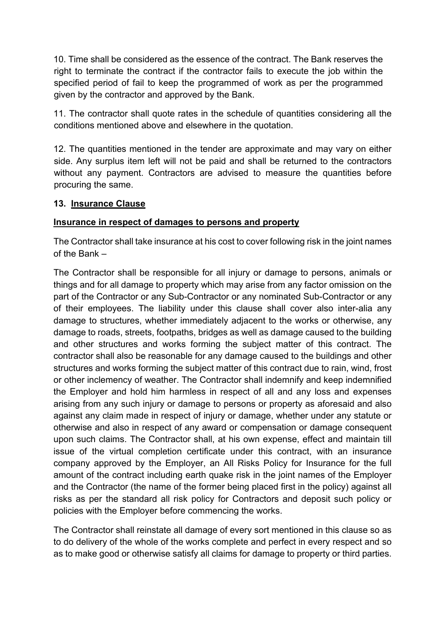10. Time shall be considered as the essence of the contract. The Bank reserves the right to terminate the contract if the contractor fails to execute the job within the specified period of fail to keep the programmed of work as per the programmed given by the contractor and approved by the Bank.

11. The contractor shall quote rates in the schedule of quantities considering all the conditions mentioned above and elsewhere in the quotation.

12. The quantities mentioned in the tender are approximate and may vary on either side. Any surplus item left will not be paid and shall be returned to the contractors without any payment. Contractors are advised to measure the quantities before procuring the same.

#### **13. Insurance Clause**

#### **Insurance in respect of damages to persons and property**

The Contractor shall take insurance at his cost to cover following risk in the joint names of the Bank –

The Contractor shall be responsible for all injury or damage to persons, animals or things and for all damage to property which may arise from any factor omission on the part of the Contractor or any Sub-Contractor or any nominated Sub-Contractor or any of their employees. The liability under this clause shall cover also inter-alia any damage to structures, whether immediately adjacent to the works or otherwise, any damage to roads, streets, footpaths, bridges as well as damage caused to the building and other structures and works forming the subject matter of this contract. The contractor shall also be reasonable for any damage caused to the buildings and other structures and works forming the subject matter of this contract due to rain, wind, frost or other inclemency of weather. The Contractor shall indemnify and keep indemnified the Employer and hold him harmless in respect of all and any loss and expenses arising from any such injury or damage to persons or property as aforesaid and also against any claim made in respect of injury or damage, whether under any statute or otherwise and also in respect of any award or compensation or damage consequent upon such claims. The Contractor shall, at his own expense, effect and maintain till issue of the virtual completion certificate under this contract, with an insurance company approved by the Employer, an All Risks Policy for Insurance for the full amount of the contract including earth quake risk in the joint names of the Employer and the Contractor (the name of the former being placed first in the policy) against all risks as per the standard all risk policy for Contractors and deposit such policy or policies with the Employer before commencing the works.

The Contractor shall reinstate all damage of every sort mentioned in this clause so as to do delivery of the whole of the works complete and perfect in every respect and so as to make good or otherwise satisfy all claims for damage to property or third parties.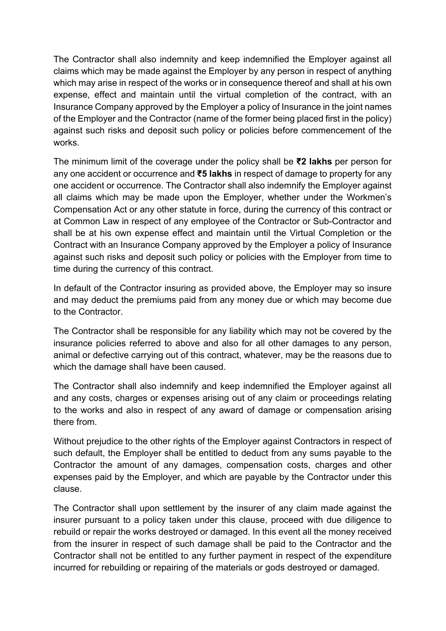The Contractor shall also indemnity and keep indemnified the Employer against all claims which may be made against the Employer by any person in respect of anything which may arise in respect of the works or in consequence thereof and shall at his own expense, effect and maintain until the virtual completion of the contract, with an Insurance Company approved by the Employer a policy of Insurance in the joint names of the Employer and the Contractor (name of the former being placed first in the policy) against such risks and deposit such policy or policies before commencement of the works.

The minimum limit of the coverage under the policy shall be **₹2 lakhs** per person for any one accident or occurrence and **₹5 lakhs** in respect of damage to property for any one accident or occurrence. The Contractor shall also indemnify the Employer against all claims which may be made upon the Employer, whether under the Workmen's Compensation Act or any other statute in force, during the currency of this contract or at Common Law in respect of any employee of the Contractor or Sub-Contractor and shall be at his own expense effect and maintain until the Virtual Completion or the Contract with an Insurance Company approved by the Employer a policy of Insurance against such risks and deposit such policy or policies with the Employer from time to time during the currency of this contract.

In default of the Contractor insuring as provided above, the Employer may so insure and may deduct the premiums paid from any money due or which may become due to the Contractor.

The Contractor shall be responsible for any liability which may not be covered by the insurance policies referred to above and also for all other damages to any person, animal or defective carrying out of this contract, whatever, may be the reasons due to which the damage shall have been caused.

The Contractor shall also indemnify and keep indemnified the Employer against all and any costs, charges or expenses arising out of any claim or proceedings relating to the works and also in respect of any award of damage or compensation arising there from.

Without prejudice to the other rights of the Employer against Contractors in respect of such default, the Employer shall be entitled to deduct from any sums payable to the Contractor the amount of any damages, compensation costs, charges and other expenses paid by the Employer, and which are payable by the Contractor under this clause.

The Contractor shall upon settlement by the insurer of any claim made against the insurer pursuant to a policy taken under this clause, proceed with due diligence to rebuild or repair the works destroyed or damaged. In this event all the money received from the insurer in respect of such damage shall be paid to the Contractor and the Contractor shall not be entitled to any further payment in respect of the expenditure incurred for rebuilding or repairing of the materials or gods destroyed or damaged.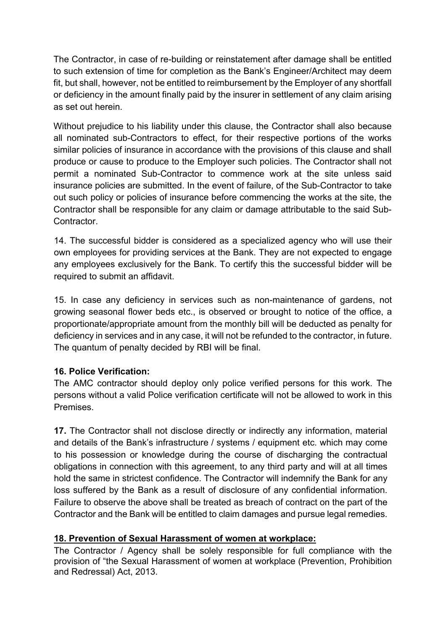The Contractor, in case of re-building or reinstatement after damage shall be entitled to such extension of time for completion as the Bank's Engineer/Architect may deem fit, but shall, however, not be entitled to reimbursement by the Employer of any shortfall or deficiency in the amount finally paid by the insurer in settlement of any claim arising as set out herein.

Without prejudice to his liability under this clause, the Contractor shall also because all nominated sub-Contractors to effect, for their respective portions of the works similar policies of insurance in accordance with the provisions of this clause and shall produce or cause to produce to the Employer such policies. The Contractor shall not permit a nominated Sub-Contractor to commence work at the site unless said insurance policies are submitted. In the event of failure, of the Sub-Contractor to take out such policy or policies of insurance before commencing the works at the site, the Contractor shall be responsible for any claim or damage attributable to the said Sub-**Contractor** 

14. The successful bidder is considered as a specialized agency who will use their own employees for providing services at the Bank. They are not expected to engage any employees exclusively for the Bank. To certify this the successful bidder will be required to submit an affidavit.

15. In case any deficiency in services such as non-maintenance of gardens, not growing seasonal flower beds etc., is observed or brought to notice of the office, a proportionate/appropriate amount from the monthly bill will be deducted as penalty for deficiency in services and in any case, it will not be refunded to the contractor, in future. The quantum of penalty decided by RBI will be final.

#### **16. Police Verification:**

The AMC contractor should deploy only police verified persons for this work. The persons without a valid Police verification certificate will not be allowed to work in this **Premises** 

**17.** The Contractor shall not disclose directly or indirectly any information, material and details of the Bank's infrastructure / systems / equipment etc. which may come to his possession or knowledge during the course of discharging the contractual obligations in connection with this agreement, to any third party and will at all times hold the same in strictest confidence. The Contractor will indemnify the Bank for any loss suffered by the Bank as a result of disclosure of any confidential information. Failure to observe the above shall be treated as breach of contract on the part of the Contractor and the Bank will be entitled to claim damages and pursue legal remedies.

# **18. Prevention of Sexual Harassment of women at workplace:**

The Contractor / Agency shall be solely responsible for full compliance with the provision of "the Sexual Harassment of women at workplace (Prevention, Prohibition and Redressal) Act, 2013.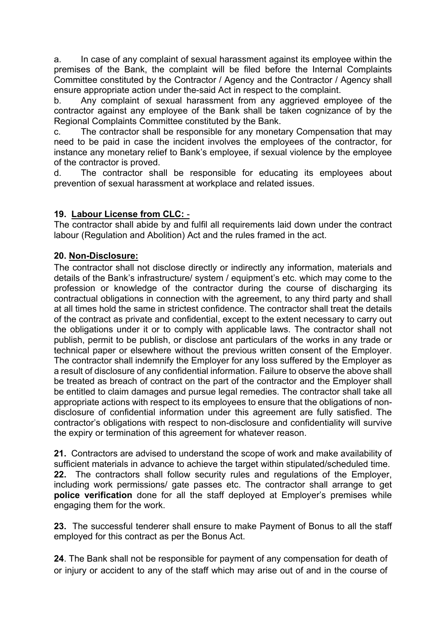a. In case of any complaint of sexual harassment against its employee within the premises of the Bank, the complaint will be filed before the Internal Complaints Committee constituted by the Contractor / Agency and the Contractor / Agency shall ensure appropriate action under the-said Act in respect to the complaint.

b. Any complaint of sexual harassment from any aggrieved employee of the contractor against any employee of the Bank shall be taken cognizance of by the Regional Complaints Committee constituted by the Bank.

c. The contractor shall be responsible for any monetary Compensation that may need to be paid in case the incident involves the employees of the contractor, for instance any monetary relief to Bank's employee, if sexual violence by the employee of the contractor is proved.

d. The contractor shall be responsible for educating its employees about prevention of sexual harassment at workplace and related issues.

#### **19. Labour License from CLC:** -

The contractor shall abide by and fulfil all requirements laid down under the contract labour (Regulation and Abolition) Act and the rules framed in the act.

#### **20. Non-Disclosure:**

The contractor shall not disclose directly or indirectly any information, materials and details of the Bank's infrastructure/ system / equipment's etc. which may come to the profession or knowledge of the contractor during the course of discharging its contractual obligations in connection with the agreement, to any third party and shall at all times hold the same in strictest confidence. The contractor shall treat the details of the contract as private and confidential, except to the extent necessary to carry out the obligations under it or to comply with applicable laws. The contractor shall not publish, permit to be publish, or disclose ant particulars of the works in any trade or technical paper or elsewhere without the previous written consent of the Employer. The contractor shall indemnify the Employer for any loss suffered by the Employer as a result of disclosure of any confidential information. Failure to observe the above shall be treated as breach of contract on the part of the contractor and the Employer shall be entitled to claim damages and pursue legal remedies. The contractor shall take all appropriate actions with respect to its employees to ensure that the obligations of nondisclosure of confidential information under this agreement are fully satisfied. The contractor's obligations with respect to non-disclosure and confidentiality will survive the expiry or termination of this agreement for whatever reason.

**21.** Contractors are advised to understand the scope of work and make availability of sufficient materials in advance to achieve the target within stipulated/scheduled time. **22.** The contractors shall follow security rules and regulations of the Employer, including work permissions/ gate passes etc. The contractor shall arrange to get **police verification** done for all the staff deployed at Employer's premises while engaging them for the work.

**23.** The successful tenderer shall ensure to make Payment of Bonus to all the staff employed for this contract as per the Bonus Act.

**24**. The Bank shall not be responsible for payment of any compensation for death of or injury or accident to any of the staff which may arise out of and in the course of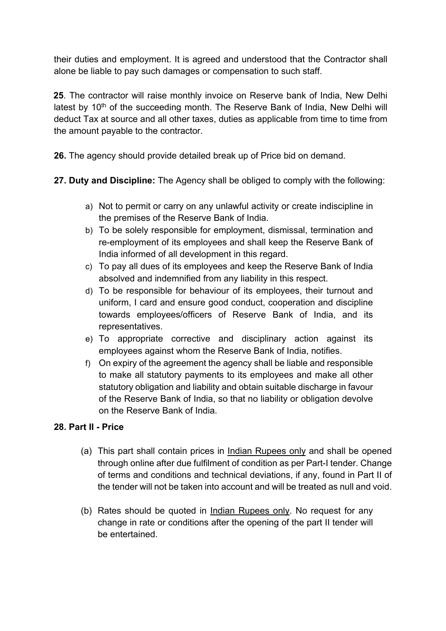their duties and employment. It is agreed and understood that the Contractor shall alone be liable to pay such damages or compensation to such staff.

**25**. The contractor will raise monthly invoice on Reserve bank of India, New Delhi latest by  $10<sup>th</sup>$  of the succeeding month. The Reserve Bank of India, New Delhi will deduct Tax at source and all other taxes, duties as applicable from time to time from the amount payable to the contractor.

**26.** The agency should provide detailed break up of Price bid on demand.

**27. Duty and Discipline:** The Agency shall be obliged to comply with the following:

- a) Not to permit or carry on any unlawful activity or create indiscipline in the premises of the Reserve Bank of India.
- b) To be solely responsible for employment, dismissal, termination and re-employment of its employees and shall keep the Reserve Bank of India informed of all development in this regard.
- c) To pay all dues of its employees and keep the Reserve Bank of India absolved and indemnified from any liability in this respect.
- d) To be responsible for behaviour of its employees, their turnout and uniform, I card and ensure good conduct, cooperation and discipline towards employees/officers of Reserve Bank of India, and its representatives.
- e) To appropriate corrective and disciplinary action against its employees against whom the Reserve Bank of India, notifies.
- f) On expiry of the agreement the agency shall be liable and responsible to make all statutory payments to its employees and make all other statutory obligation and liability and obtain suitable discharge in favour of the Reserve Bank of India, so that no liability or obligation devolve on the Reserve Bank of India.

# **28. Part II - Price**

- (a) This part shall contain prices in Indian Rupees only and shall be opened through online after due fulfilment of condition as per Part-I tender. Change of terms and conditions and technical deviations, if any, found in Part II of the tender will not be taken into account and will be treated as null and void.
- (b) Rates should be quoted in Indian Rupees only. No request for any change in rate or conditions after the opening of the part II tender will be entertained.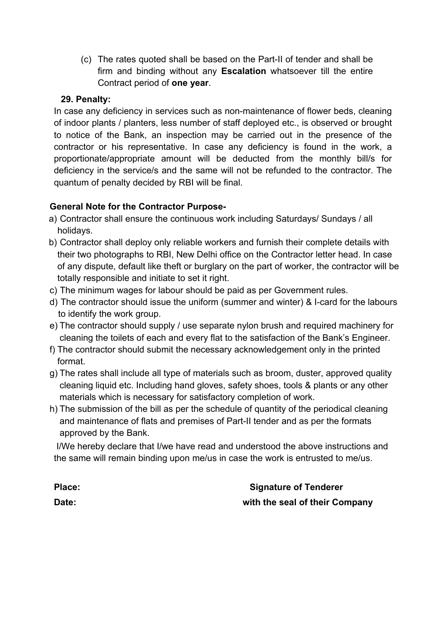(c) The rates quoted shall be based on the Part-II of tender and shall be firm and binding without any **Escalation** whatsoever till the entire Contract period of **one year**.

#### **29. Penalty:**

In case any deficiency in services such as non-maintenance of flower beds, cleaning of indoor plants / planters, less number of staff deployed etc., is observed or brought to notice of the Bank, an inspection may be carried out in the presence of the contractor or his representative. In case any deficiency is found in the work, a proportionate/appropriate amount will be deducted from the monthly bill/s for deficiency in the service/s and the same will not be refunded to the contractor. The quantum of penalty decided by RBI will be final.

# **General Note for the Contractor Purpose-**

- a) Contractor shall ensure the continuous work including Saturdays/ Sundays / all holidays.
- b) Contractor shall deploy only reliable workers and furnish their complete details with their two photographs to RBI, New Delhi office on the Contractor letter head. In case of any dispute, default like theft or burglary on the part of worker, the contractor will be totally responsible and initiate to set it right.
- c) The minimum wages for labour should be paid as per Government rules.
- d) The contractor should issue the uniform (summer and winter) & I-card for the labours to identify the work group.
- e) The contractor should supply / use separate nylon brush and required machinery for cleaning the toilets of each and every flat to the satisfaction of the Bank's Engineer.
- f) The contractor should submit the necessary acknowledgement only in the printed format.
- g) The rates shall include all type of materials such as broom, duster, approved quality cleaning liquid etc. Including hand gloves, safety shoes, tools & plants or any other materials which is necessary for satisfactory completion of work.
- h) The submission of the bill as per the schedule of quantity of the periodical cleaning and maintenance of flats and premises of Part-II tender and as per the formats approved by the Bank.

I/We hereby declare that I/we have read and understood the above instructions and the same will remain binding upon me/us in case the work is entrusted to me/us.

**Place:** Signature of Tenderer **Date: with the seal of their Company**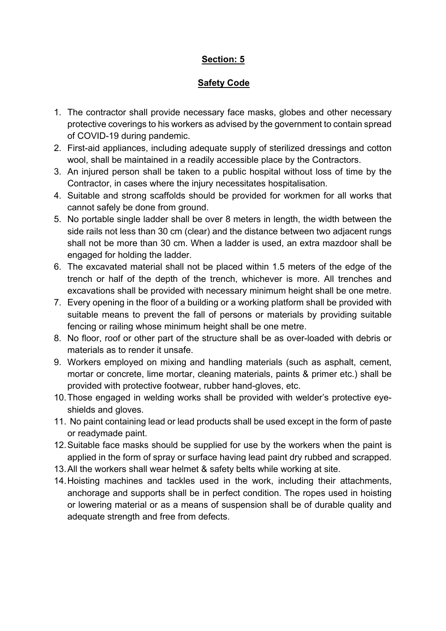# **Section: 5**

# **Safety Code**

- 1. The contractor shall provide necessary face masks, globes and other necessary protective coverings to his workers as advised by the government to contain spread of COVID-19 during pandemic.
- 2. First-aid appliances, including adequate supply of sterilized dressings and cotton wool, shall be maintained in a readily accessible place by the Contractors.
- 3. An injured person shall be taken to a public hospital without loss of time by the Contractor, in cases where the injury necessitates hospitalisation.
- 4. Suitable and strong scaffolds should be provided for workmen for all works that cannot safely be done from ground.
- 5. No portable single ladder shall be over 8 meters in length, the width between the side rails not less than 30 cm (clear) and the distance between two adjacent rungs shall not be more than 30 cm. When a ladder is used, an extra mazdoor shall be engaged for holding the ladder.
- 6. The excavated material shall not be placed within 1.5 meters of the edge of the trench or half of the depth of the trench, whichever is more. All trenches and excavations shall be provided with necessary minimum height shall be one metre.
- 7. Every opening in the floor of a building or a working platform shall be provided with suitable means to prevent the fall of persons or materials by providing suitable fencing or railing whose minimum height shall be one metre.
- 8. No floor, roof or other part of the structure shall be as over-loaded with debris or materials as to render it unsafe.
- 9. Workers employed on mixing and handling materials (such as asphalt, cement, mortar or concrete, lime mortar, cleaning materials, paints & primer etc.) shall be provided with protective footwear, rubber hand-gloves, etc.
- 10.Those engaged in welding works shall be provided with welder's protective eyeshields and gloves.
- 11. No paint containing lead or lead products shall be used except in the form of paste or readymade paint.
- 12.Suitable face masks should be supplied for use by the workers when the paint is applied in the form of spray or surface having lead paint dry rubbed and scrapped.
- 13.All the workers shall wear helmet & safety belts while working at site.
- 14.Hoisting machines and tackles used in the work, including their attachments, anchorage and supports shall be in perfect condition. The ropes used in hoisting or lowering material or as a means of suspension shall be of durable quality and adequate strength and free from defects.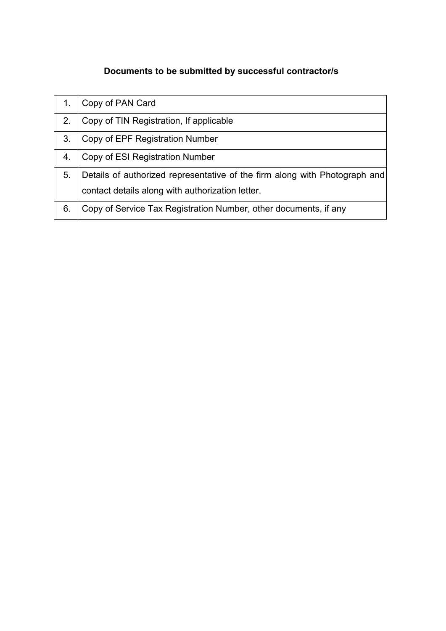# **Documents to be submitted by successful contractor/s**

|    | Copy of PAN Card                                                                                                               |
|----|--------------------------------------------------------------------------------------------------------------------------------|
| 2. | Copy of TIN Registration, If applicable                                                                                        |
| 3. | Copy of EPF Registration Number                                                                                                |
| 4. | Copy of ESI Registration Number                                                                                                |
| 5. | Details of authorized representative of the firm along with Photograph and<br>contact details along with authorization letter. |
| 6. | Copy of Service Tax Registration Number, other documents, if any                                                               |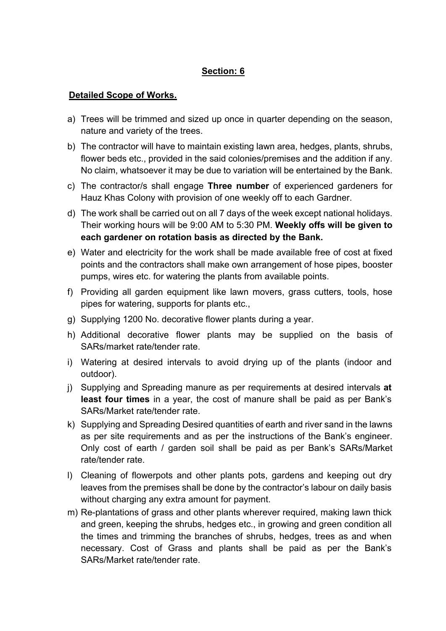#### **Section: 6**

#### **Detailed Scope of Works.**

- a) Trees will be trimmed and sized up once in quarter depending on the season, nature and variety of the trees.
- b) The contractor will have to maintain existing lawn area, hedges, plants, shrubs, flower beds etc., provided in the said colonies/premises and the addition if any. No claim, whatsoever it may be due to variation will be entertained by the Bank.
- c) The contractor/s shall engage **Three number** of experienced gardeners for Hauz Khas Colony with provision of one weekly off to each Gardner.
- d) The work shall be carried out on all 7 days of the week except national holidays. Their working hours will be 9:00 AM to 5:30 PM. **Weekly offs will be given to each gardener on rotation basis as directed by the Bank.**
- e) Water and electricity for the work shall be made available free of cost at fixed points and the contractors shall make own arrangement of hose pipes, booster pumps, wires etc. for watering the plants from available points.
- f) Providing all garden equipment like lawn movers, grass cutters, tools, hose pipes for watering, supports for plants etc.,
- g) Supplying 1200 No. decorative flower plants during a year.
- h) Additional decorative flower plants may be supplied on the basis of SARs/market rate/tender rate.
- i) Watering at desired intervals to avoid drying up of the plants (indoor and outdoor).
- j) Supplying and Spreading manure as per requirements at desired intervals **at least four times** in a year, the cost of manure shall be paid as per Bank's SARs/Market rate/tender rate.
- k) Supplying and Spreading Desired quantities of earth and river sand in the lawns as per site requirements and as per the instructions of the Bank's engineer. Only cost of earth / garden soil shall be paid as per Bank's SARs/Market rate/tender rate.
- l) Cleaning of flowerpots and other plants pots, gardens and keeping out dry leaves from the premises shall be done by the contractor's labour on daily basis without charging any extra amount for payment.
- m) Re-plantations of grass and other plants wherever required, making lawn thick and green, keeping the shrubs, hedges etc., in growing and green condition all the times and trimming the branches of shrubs, hedges, trees as and when necessary. Cost of Grass and plants shall be paid as per the Bank's SARs/Market rate/tender rate.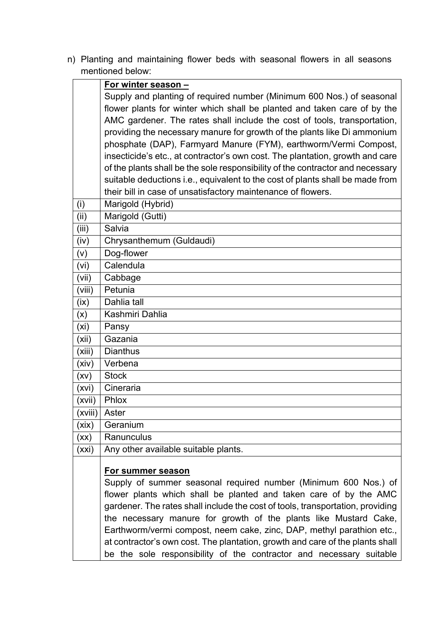n) Planting and maintaining flower beds with seasonal flowers in all seasons mentioned below:

|        | For winter season -                                                                                                                                                                                                                                                                                                                                                                                                                                                                                                                              |
|--------|--------------------------------------------------------------------------------------------------------------------------------------------------------------------------------------------------------------------------------------------------------------------------------------------------------------------------------------------------------------------------------------------------------------------------------------------------------------------------------------------------------------------------------------------------|
|        | Supply and planting of required number (Minimum 600 Nos.) of seasonal                                                                                                                                                                                                                                                                                                                                                                                                                                                                            |
|        | flower plants for winter which shall be planted and taken care of by the                                                                                                                                                                                                                                                                                                                                                                                                                                                                         |
|        | AMC gardener. The rates shall include the cost of tools, transportation,                                                                                                                                                                                                                                                                                                                                                                                                                                                                         |
|        | providing the necessary manure for growth of the plants like Di ammonium                                                                                                                                                                                                                                                                                                                                                                                                                                                                         |
|        | phosphate (DAP), Farmyard Manure (FYM), earthworm/Vermi Compost,                                                                                                                                                                                                                                                                                                                                                                                                                                                                                 |
|        | insecticide's etc., at contractor's own cost. The plantation, growth and care                                                                                                                                                                                                                                                                                                                                                                                                                                                                    |
|        | of the plants shall be the sole responsibility of the contractor and necessary                                                                                                                                                                                                                                                                                                                                                                                                                                                                   |
|        | suitable deductions i.e., equivalent to the cost of plants shall be made from                                                                                                                                                                                                                                                                                                                                                                                                                                                                    |
|        | their bill in case of unsatisfactory maintenance of flowers.                                                                                                                                                                                                                                                                                                                                                                                                                                                                                     |
| (i)    | Marigold (Hybrid)                                                                                                                                                                                                                                                                                                                                                                                                                                                                                                                                |
| (ii)   | Marigold (Gutti)                                                                                                                                                                                                                                                                                                                                                                                                                                                                                                                                 |
| (iii)  | Salvia                                                                                                                                                                                                                                                                                                                                                                                                                                                                                                                                           |
| (iv)   | Chrysanthemum (Guldaudi)                                                                                                                                                                                                                                                                                                                                                                                                                                                                                                                         |
| (v)    | Dog-flower                                                                                                                                                                                                                                                                                                                                                                                                                                                                                                                                       |
| (vi)   | Calendula                                                                                                                                                                                                                                                                                                                                                                                                                                                                                                                                        |
| (vii)  | Cabbage                                                                                                                                                                                                                                                                                                                                                                                                                                                                                                                                          |
| (viii) | Petunia                                                                                                                                                                                                                                                                                                                                                                                                                                                                                                                                          |
| (ix)   | Dahlia tall                                                                                                                                                                                                                                                                                                                                                                                                                                                                                                                                      |
| (x)    | Kashmiri Dahlia                                                                                                                                                                                                                                                                                                                                                                                                                                                                                                                                  |
| (xi)   | Pansy                                                                                                                                                                                                                                                                                                                                                                                                                                                                                                                                            |
| (xii)  | Gazania                                                                                                                                                                                                                                                                                                                                                                                                                                                                                                                                          |
| (xiii) | <b>Dianthus</b>                                                                                                                                                                                                                                                                                                                                                                                                                                                                                                                                  |
| (xiv)  | Verbena                                                                                                                                                                                                                                                                                                                                                                                                                                                                                                                                          |
| (xv)   | <b>Stock</b>                                                                                                                                                                                                                                                                                                                                                                                                                                                                                                                                     |
| (xvi)  | Cineraria                                                                                                                                                                                                                                                                                                                                                                                                                                                                                                                                        |
| (xvii) | Phlox                                                                                                                                                                                                                                                                                                                                                                                                                                                                                                                                            |
|        | (xviii)   Aster                                                                                                                                                                                                                                                                                                                                                                                                                                                                                                                                  |
| (xix)  | Geranium                                                                                                                                                                                                                                                                                                                                                                                                                                                                                                                                         |
| (xx)   | Ranunculus                                                                                                                                                                                                                                                                                                                                                                                                                                                                                                                                       |
| (xxi)  | Any other available suitable plants.                                                                                                                                                                                                                                                                                                                                                                                                                                                                                                             |
|        |                                                                                                                                                                                                                                                                                                                                                                                                                                                                                                                                                  |
|        |                                                                                                                                                                                                                                                                                                                                                                                                                                                                                                                                                  |
|        |                                                                                                                                                                                                                                                                                                                                                                                                                                                                                                                                                  |
|        |                                                                                                                                                                                                                                                                                                                                                                                                                                                                                                                                                  |
|        |                                                                                                                                                                                                                                                                                                                                                                                                                                                                                                                                                  |
|        |                                                                                                                                                                                                                                                                                                                                                                                                                                                                                                                                                  |
|        |                                                                                                                                                                                                                                                                                                                                                                                                                                                                                                                                                  |
|        |                                                                                                                                                                                                                                                                                                                                                                                                                                                                                                                                                  |
|        | For summer season<br>Supply of summer seasonal required number (Minimum 600 Nos.) of<br>flower plants which shall be planted and taken care of by the AMC<br>gardener. The rates shall include the cost of tools, transportation, providing<br>the necessary manure for growth of the plants like Mustard Cake,<br>Earthworm/vermi compost, neem cake, zinc, DAP, methyl parathion etc.,<br>at contractor's own cost. The plantation, growth and care of the plants shall<br>be the sole responsibility of the contractor and necessary suitable |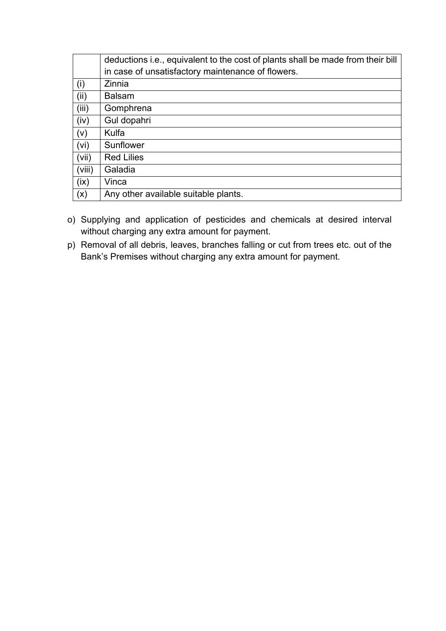|        | deductions i.e., equivalent to the cost of plants shall be made from their bill |
|--------|---------------------------------------------------------------------------------|
|        | in case of unsatisfactory maintenance of flowers.                               |
| (i)    | Zinnia                                                                          |
| (ii)   | <b>Balsam</b>                                                                   |
| (iii)  | Gomphrena                                                                       |
| (iv)   | Gul dopahri                                                                     |
| (v)    | Kulfa                                                                           |
| (vi)   | Sunflower                                                                       |
| (vii)  | <b>Red Lilies</b>                                                               |
| (viii) | Galadia                                                                         |
| (ix)   | Vinca                                                                           |
| (x)    | Any other available suitable plants.                                            |

- o) Supplying and application of pesticides and chemicals at desired interval without charging any extra amount for payment.
- p) Removal of all debris, leaves, branches falling or cut from trees etc. out of the Bank's Premises without charging any extra amount for payment.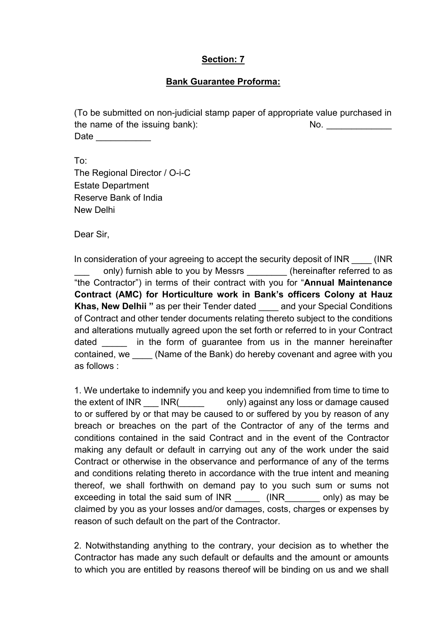#### **Section: 7**

#### **Bank Guarantee Proforma:**

(To be submitted on non-judicial stamp paper of appropriate value purchased in the name of the issuing bank): No. No. Date  $\qquad \qquad \qquad \qquad$ 

To: The Regional Director / O-i-C Estate Department Reserve Bank of India New Delhi

Dear Sir,

In consideration of your agreeing to accept the security deposit of INR  $\qquad$  (INR) only) furnish able to you by Messrs (hereinafter referred to as "the Contractor") in terms of their contract with you for "**Annual Maintenance Contract (AMC) for Horticulture work in Bank's officers Colony at Hauz Khas, New Delhii "** as per their Tender dated \_\_\_\_ and your Special Conditions of Contract and other tender documents relating thereto subject to the conditions and alterations mutually agreed upon the set forth or referred to in your Contract dated in the form of guarantee from us in the manner hereinafter contained, we \_\_\_\_ (Name of the Bank) do hereby covenant and agree with you as follows :

1. We undertake to indemnify you and keep you indemnified from time to time to the extent of INR INR( only) against any loss or damage caused to or suffered by or that may be caused to or suffered by you by reason of any breach or breaches on the part of the Contractor of any of the terms and conditions contained in the said Contract and in the event of the Contractor making any default or default in carrying out any of the work under the said Contract or otherwise in the observance and performance of any of the terms and conditions relating thereto in accordance with the true intent and meaning thereof, we shall forthwith on demand pay to you such sum or sums not exceeding in total the said sum of INR \_\_\_\_\_\_ (INR\_\_\_\_\_\_\_ only) as may be claimed by you as your losses and/or damages, costs, charges or expenses by reason of such default on the part of the Contractor.

2. Notwithstanding anything to the contrary, your decision as to whether the Contractor has made any such default or defaults and the amount or amounts to which you are entitled by reasons thereof will be binding on us and we shall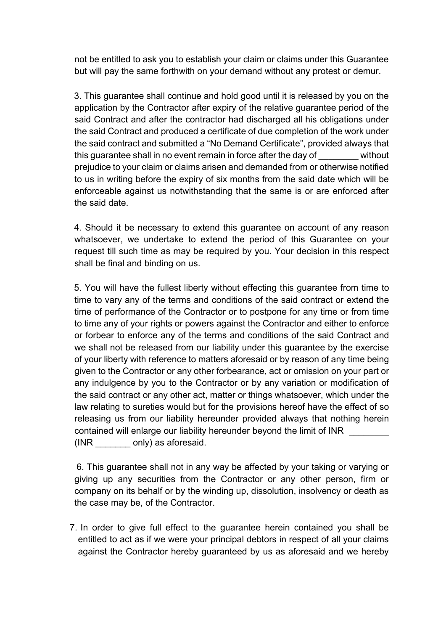not be entitled to ask you to establish your claim or claims under this Guarantee but will pay the same forthwith on your demand without any protest or demur.

3. This guarantee shall continue and hold good until it is released by you on the application by the Contractor after expiry of the relative guarantee period of the said Contract and after the contractor had discharged all his obligations under the said Contract and produced a certificate of due completion of the work under the said contract and submitted a "No Demand Certificate", provided always that this guarantee shall in no event remain in force after the day of \_\_\_\_\_\_\_\_ without prejudice to your claim or claims arisen and demanded from or otherwise notified to us in writing before the expiry of six months from the said date which will be enforceable against us notwithstanding that the same is or are enforced after the said date.

4. Should it be necessary to extend this guarantee on account of any reason whatsoever, we undertake to extend the period of this Guarantee on your request till such time as may be required by you. Your decision in this respect shall be final and binding on us.

5. You will have the fullest liberty without effecting this guarantee from time to time to vary any of the terms and conditions of the said contract or extend the time of performance of the Contractor or to postpone for any time or from time to time any of your rights or powers against the Contractor and either to enforce or forbear to enforce any of the terms and conditions of the said Contract and we shall not be released from our liability under this guarantee by the exercise of your liberty with reference to matters aforesaid or by reason of any time being given to the Contractor or any other forbearance, act or omission on your part or any indulgence by you to the Contractor or by any variation or modification of the said contract or any other act, matter or things whatsoever, which under the law relating to sureties would but for the provisions hereof have the effect of so releasing us from our liability hereunder provided always that nothing herein contained will enlarge our liability hereunder beyond the limit of INR (INR \_\_\_\_\_\_\_ only) as aforesaid.

6. This guarantee shall not in any way be affected by your taking or varying or giving up any securities from the Contractor or any other person, firm or company on its behalf or by the winding up, dissolution, insolvency or death as the case may be, of the Contractor.

7. In order to give full effect to the guarantee herein contained you shall be entitled to act as if we were your principal debtors in respect of all your claims against the Contractor hereby guaranteed by us as aforesaid and we hereby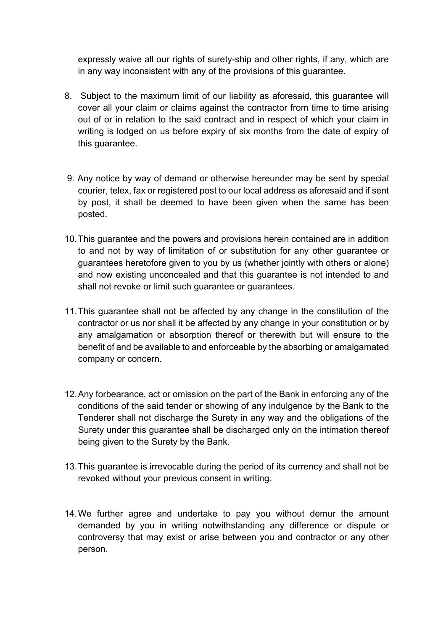expressly waive all our rights of surety-ship and other rights, if any, which are in any way inconsistent with any of the provisions of this guarantee.

- 8. Subject to the maximum limit of our liability as aforesaid, this guarantee will cover all your claim or claims against the contractor from time to time arising out of or in relation to the said contract and in respect of which your claim in writing is lodged on us before expiry of six months from the date of expiry of this guarantee.
- 9. Any notice by way of demand or otherwise hereunder may be sent by special courier, telex, fax or registered post to our local address as aforesaid and if sent by post, it shall be deemed to have been given when the same has been posted.
- 10.This guarantee and the powers and provisions herein contained are in addition to and not by way of limitation of or substitution for any other guarantee or guarantees heretofore given to you by us (whether jointly with others or alone) and now existing unconcealed and that this guarantee is not intended to and shall not revoke or limit such guarantee or guarantees.
- 11.This guarantee shall not be affected by any change in the constitution of the contractor or us nor shall it be affected by any change in your constitution or by any amalgamation or absorption thereof or therewith but will ensure to the benefit of and be available to and enforceable by the absorbing or amalgamated company or concern.
- 12.Any forbearance, act or omission on the part of the Bank in enforcing any of the conditions of the said tender or showing of any indulgence by the Bank to the Tenderer shall not discharge the Surety in any way and the obligations of the Surety under this guarantee shall be discharged only on the intimation thereof being given to the Surety by the Bank.
- 13.This guarantee is irrevocable during the period of its currency and shall not be revoked without your previous consent in writing.
- 14.We further agree and undertake to pay you without demur the amount demanded by you in writing notwithstanding any difference or dispute or controversy that may exist or arise between you and contractor or any other person.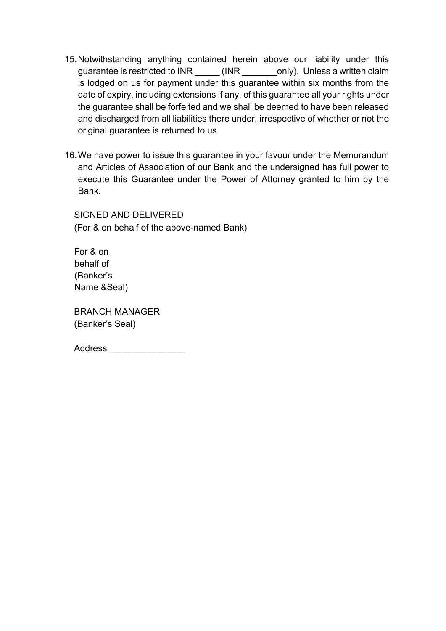- 15.Notwithstanding anything contained herein above our liability under this guarantee is restricted to INR (INR conly). Unless a written claim is lodged on us for payment under this guarantee within six months from the date of expiry, including extensions if any, of this guarantee all your rights under the guarantee shall be forfeited and we shall be deemed to have been released and discharged from all liabilities there under, irrespective of whether or not the original guarantee is returned to us.
- 16.We have power to issue this guarantee in your favour under the Memorandum and Articles of Association of our Bank and the undersigned has full power to execute this Guarantee under the Power of Attorney granted to him by the Bank.

SIGNED AND DELIVERED (For & on behalf of the above-named Bank)

For & on behalf of (Banker's Name &Seal)

BRANCH MANAGER (Banker's Seal)

| <b>Address</b> |  |  |  |  |  |
|----------------|--|--|--|--|--|
|                |  |  |  |  |  |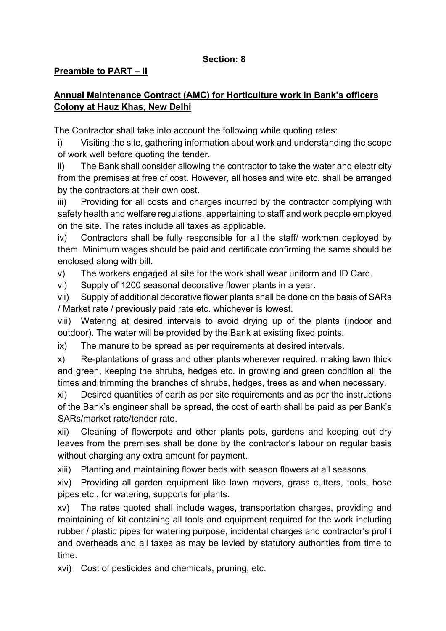# **Section: 8**

#### **Preamble to PART – II**

# **Annual Maintenance Contract (AMC) for Horticulture work in Bank's officers Colony at Hauz Khas, New Delhi**

The Contractor shall take into account the following while quoting rates:

i) Visiting the site, gathering information about work and understanding the scope of work well before quoting the tender.

ii) The Bank shall consider allowing the contractor to take the water and electricity from the premises at free of cost. However, all hoses and wire etc. shall be arranged by the contractors at their own cost.

iii) Providing for all costs and charges incurred by the contractor complying with safety health and welfare regulations, appertaining to staff and work people employed on the site. The rates include all taxes as applicable.

iv) Contractors shall be fully responsible for all the staff/ workmen deployed by them. Minimum wages should be paid and certificate confirming the same should be enclosed along with bill.

v) The workers engaged at site for the work shall wear uniform and ID Card.

vi) Supply of 1200 seasonal decorative flower plants in a year.

vii) Supply of additional decorative flower plants shall be done on the basis of SARs / Market rate / previously paid rate etc. whichever is lowest.

viii) Watering at desired intervals to avoid drying up of the plants (indoor and outdoor). The water will be provided by the Bank at existing fixed points.

ix) The manure to be spread as per requirements at desired intervals.

x) Re-plantations of grass and other plants wherever required, making lawn thick and green, keeping the shrubs, hedges etc. in growing and green condition all the times and trimming the branches of shrubs, hedges, trees as and when necessary.

xi) Desired quantities of earth as per site requirements and as per the instructions of the Bank's engineer shall be spread, the cost of earth shall be paid as per Bank's SARs/market rate/tender rate.

xii) Cleaning of flowerpots and other plants pots, gardens and keeping out dry leaves from the premises shall be done by the contractor's labour on regular basis without charging any extra amount for payment.

xiii) Planting and maintaining flower beds with season flowers at all seasons.

xiv) Providing all garden equipment like lawn movers, grass cutters, tools, hose pipes etc., for watering, supports for plants.

xv) The rates quoted shall include wages, transportation charges, providing and maintaining of kit containing all tools and equipment required for the work including rubber / plastic pipes for watering purpose, incidental charges and contractor's profit and overheads and all taxes as may be levied by statutory authorities from time to time.

xvi) Cost of pesticides and chemicals, pruning, etc.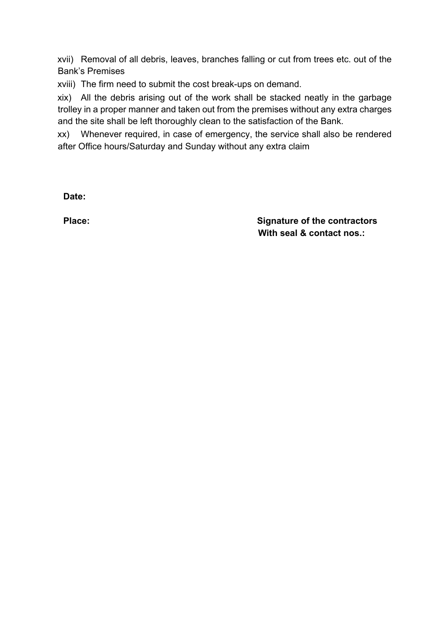xvii) Removal of all debris, leaves, branches falling or cut from trees etc. out of the Bank's Premises

xviii) The firm need to submit the cost break-ups on demand.

xix) All the debris arising out of the work shall be stacked neatly in the garbage trolley in a proper manner and taken out from the premises without any extra charges and the site shall be left thoroughly clean to the satisfaction of the Bank.

xx) Whenever required, in case of emergency, the service shall also be rendered after Office hours/Saturday and Sunday without any extra claim

**Date:** 

**Place: Place: Place: Place: Signature of the contractors With seal & contact nos.:**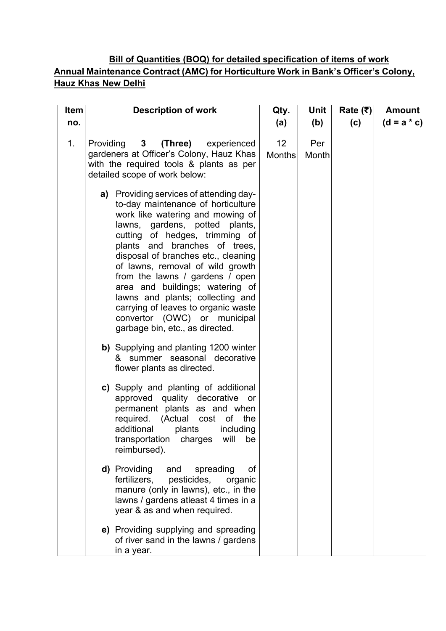# **Bill of Quantities (BOQ) for detailed specification of items of work Annual Maintenance Contract (AMC) for Horticulture Work in Bank's Officer's Colony, Hauz Khas New Delhi**

| <b>Item</b> | <b>Description of work</b>                                                                                                                                                                                                                                                                                                                                                                                                                                                                                            | Qty.                | <b>Unit</b>  | Rate $(₹)$ | <b>Amount</b> |
|-------------|-----------------------------------------------------------------------------------------------------------------------------------------------------------------------------------------------------------------------------------------------------------------------------------------------------------------------------------------------------------------------------------------------------------------------------------------------------------------------------------------------------------------------|---------------------|--------------|------------|---------------|
| no.         |                                                                                                                                                                                                                                                                                                                                                                                                                                                                                                                       | (a)                 | (b)          | (c)        | $(d = a * c)$ |
| 1.          | Providing 3 (Three) experienced<br>gardeners at Officer's Colony, Hauz Khas<br>with the required tools & plants as per<br>detailed scope of work below:                                                                                                                                                                                                                                                                                                                                                               | 12<br><b>Months</b> | Per<br>Month |            |               |
|             | a) Providing services of attending day-<br>to-day maintenance of horticulture<br>work like watering and mowing of<br>lawns, gardens, potted plants,<br>cutting of hedges, trimming of<br>plants and branches of trees,<br>disposal of branches etc., cleaning<br>of lawns, removal of wild growth<br>from the lawns / gardens / open<br>area and buildings; watering of<br>lawns and plants; collecting and<br>carrying of leaves to organic waste<br>convertor (OWC) or municipal<br>garbage bin, etc., as directed. |                     |              |            |               |
|             | b) Supplying and planting 1200 winter<br>& summer seasonal decorative<br>flower plants as directed.                                                                                                                                                                                                                                                                                                                                                                                                                   |                     |              |            |               |
|             | c) Supply and planting of additional<br>approved quality decorative or<br>permanent plants as and when<br>required. (Actual cost of the<br>additional<br>plants<br>including<br>transportation charges will<br>be<br>reimbursed).                                                                                                                                                                                                                                                                                     |                     |              |            |               |
|             | <b>d)</b> Providing<br>spreading<br>and<br>of<br>fertilizers,<br>pesticides,<br>organic<br>manure (only in lawns), etc., in the<br>lawns / gardens atleast 4 times in a<br>year & as and when required.                                                                                                                                                                                                                                                                                                               |                     |              |            |               |
|             | e) Providing supplying and spreading<br>of river sand in the lawns / gardens<br>in a year.                                                                                                                                                                                                                                                                                                                                                                                                                            |                     |              |            |               |